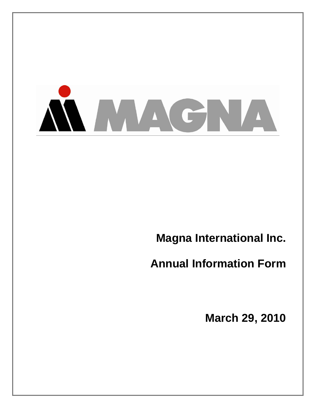

**Magna International Inc.** 

**Annual Information Form** 

**March 29, 2010**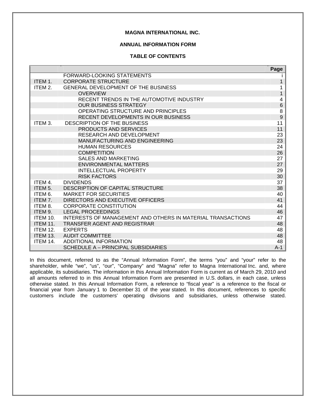# **MAGNA INTERNATIONAL INC.**

# **ANNUAL INFORMATION FORM**

# **TABLE OF CONTENTS**

|                 |                                                             | Page           |
|-----------------|-------------------------------------------------------------|----------------|
|                 | FORWARD-LOOKING STATEMENTS                                  |                |
| ITEM 1.         | <b>CORPORATE STRUCTURE</b>                                  | 1              |
| ITEM 2.         | <b>GENERAL DEVELOPMENT OF THE BUSINESS</b>                  | 1              |
|                 | <b>OVERVIEW</b>                                             | $\overline{1}$ |
|                 | RECENT TRENDS IN THE AUTOMOTIVE INDUSTRY                    | 4              |
|                 | <b>OUR BUSINESS STRATEGY</b>                                | $\,$ 6 $\,$    |
|                 | OPERATING STRUCTURE AND PRINCIPLES                          | 8              |
|                 | RECENT DEVELOPMENTS IN OUR BUSINESS                         | $\overline{9}$ |
| ITEM 3.         | DESCRIPTION OF THE BUSINESS                                 | 11             |
|                 | <b>PRODUCTS AND SERVICES</b>                                | 11             |
|                 | RESEARCH AND DEVELOPMENT                                    | 23             |
|                 | <b>MANUFACTURING AND ENGINEERING</b>                        | 23             |
|                 | <b>HUMAN RESOURCES</b>                                      | 24             |
|                 | <b>COMPETITION</b>                                          | 26             |
|                 | <b>SALES AND MARKETING</b>                                  | 27             |
|                 | <b>ENVIRONMENTAL MATTERS</b>                                | 27             |
|                 | <b>INTELLECTUAL PROPERTY</b>                                | 29             |
|                 | <b>RISK FACTORS</b>                                         | 30             |
| ITEM 4.         | <b>DIVIDENDS</b>                                            | 37             |
| ITEM 5.         | DESCRIPTION OF CAPITAL STRUCTURE                            | 38             |
| ITEM 6.         | <b>MARKET FOR SECURITIES</b>                                | 40             |
| ITEM 7.         | DIRECTORS AND EXECUTIVE OFFICERS                            | 41             |
| ITEM 8.         | <b>CORPORATE CONSTITUTION</b>                               | 44             |
| ITEM 9.         | <b>LEGAL PROCEEDINGS</b>                                    | 46             |
| <b>ITEM 10.</b> | INTERESTS OF MANAGEMENT AND OTHERS IN MATERIAL TRANSACTIONS | 47             |
| <b>ITEM 11.</b> | <b>TRANSFER AGENT AND REGISTRAR</b>                         | 48             |
| <b>ITEM 12.</b> | <b>EXPERTS</b>                                              | 48             |
| <b>ITEM 13.</b> | <b>AUDIT COMMITTEE</b>                                      | 48             |
| ITEM 14.        | ADDITIONAL INFORMATION                                      | 48             |
|                 | SCHEDULE A - PRINCIPAL SUBSIDIARIES                         | $A-1$          |

In this document, referred to as the "Annual Information Form", the terms "you" and "your" refer to the shareholder, while "we", "us", "our", "Company" and "Magna" refer to Magna International Inc. and, where applicable, its subsidiaries. The information in this Annual Information Form is current as of March 29, 2010 and all amounts referred to in this Annual Information Form are presented in U.S. dollars, in each case, unless otherwise stated. In this Annual Information Form, a reference to "fiscal year" is a reference to the fiscal or financial year from January 1 to December 31 of the year stated. In this document, references to specific customers include the customers' operating divisions and subsidiaries, unless otherwise stated.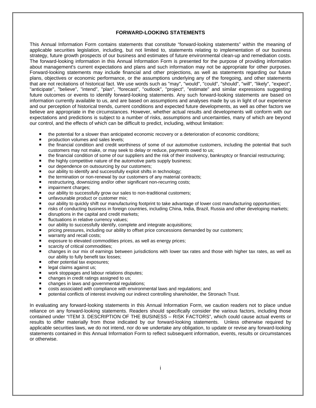# **FORWARD-LOOKING STATEMENTS**

This Annual Information Form contains statements that constitute "forward-looking statements" within the meaning of applicable securities legislation, including, but not limited to, statements relating to implementation of our business strategy, future growth prospects of our business and estimates of future environmental clean-up and remediation costs. The forward-looking information in this Annual Information Form is presented for the purpose of providing information about management's current expectations and plans and such information may not be appropriate for other purposes. Forward-looking statements may include financial and other projections, as well as statements regarding our future plans, objectives or economic performance, or the assumptions underlying any of the foregoing, and other statements that are not recitations of historical fact. We use words such as "may", "would", "could", "should", "will", "likely", "expect", "anticipate", "believe", "intend", "plan", "forecast", "outlook", "project", "estimate" and similar expressions suggesting future outcomes or events to identify forward-looking statements. Any such forward-looking statements are based on information currently available to us, and are based on assumptions and analyses made by us in light of our experience and our perception of historical trends, current conditions and expected future developments, as well as other factors we believe are appropriate in the circumstances. However, whether actual results and developments will conform with our expectations and predictions is subject to a number of risks, assumptions and uncertainties, many of which are beyond our control, and the effects of which can be difficult to predict, including, without limitation:

- the potential for a slower than anticipated economic recovery or a deterioration of economic conditions;
- production volumes and sales levels;
- the financial condition and credit worthiness of some of our automotive customers, including the potential that such customers may not make, or may seek to delay or reduce, payments owed to us;
- the financial condition of some of our suppliers and the risk of their insolvency, bankruptcy or financial restructuring;
- the highly competitive nature of the automotive parts supply business;
- our dependence on outsourcing by our customers;
- our ability to identify and successfully exploit shifts in technology;
- the termination or non-renewal by our customers of any material contracts:
- restructuring, downsizing and/or other significant non-recurring costs;
- **n** impairment charges;
- our ability to successfully grow our sales to non-traditional customers;
- unfavourable product or customer mix;
- our ability to quickly shift our manufacturing footprint to take advantage of lower cost manufacturing opportunities;
- risks of conducting business in foreign countries, including China, India, Brazil, Russia and other developing markets;
- disruptions in the capital and credit markets;
- **fluctuations in relative currency values;**
- our ability to successfully identify, complete and integrate acquisitions;
- **Part in the pricing pressures, including our ability to offset price concessions demanded by our customers;**
- warranty and recall costs;
- exposure to elevated commodities prices, as well as energy prices;
- scarcity of critical commodities;
- changes in our mix of earnings between jurisdictions with lower tax rates and those with higher tax rates, as well as our ability to fully benefit tax losses;
- other potential tax exposures;
- **legal claims against us;**
- work stoppages and labour relations disputes;
- changes in credit ratings assigned to us;
- changes in laws and governmental regulations;
- costs associated with compliance with environmental laws and regulations; and<br>■ potential conflicts of interest involving our indirect controlling shareholder, the St
- potential conflicts of interest involving our indirect controlling shareholder, the Stronach Trust.

In evaluating any forward-looking statements in this Annual Information Form, we caution readers not to place undue reliance on any forward-looking statements. Readers should specifically consider the various factors, including those contained under "ITEM 3. DESCRIPTION OF THE BUSINESS – RISK FACTORS", which could cause actual events or results to differ materially from those indicated by our forward-looking statements. Unless otherwise required by applicable securities laws, we do not intend, nor do we undertake any obligation, to update or revise any forward-looking statements contained in this Annual Information Form to reflect subsequent information, events, results or circumstances or otherwise.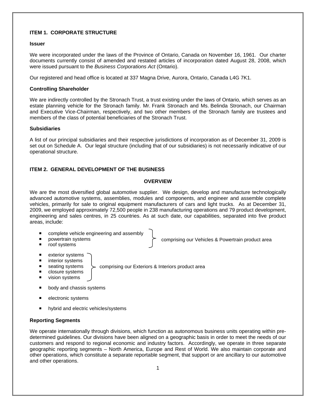# **ITEM 1. CORPORATE STRUCTURE**

# **Issuer**

We were incorporated under the laws of the Province of Ontario, Canada on November 16, 1961. Our charter documents currently consist of amended and restated articles of incorporation dated August 28, 2008, which were issued pursuant to the *Business Corporations Act* (Ontario).

Our registered and head office is located at 337 Magna Drive, Aurora, Ontario, Canada L4G 7K1.

# **Controlling Shareholder**

We are indirectly controlled by the Stronach Trust, a trust existing under the laws of Ontario, which serves as an estate planning vehicle for the Stronach family. Mr. Frank Stronach and Ms. Belinda Stronach, our Chairman and Executive Vice-Chairman, respectively, and two other members of the Stronach family are trustees and members of the class of potential beneficiaries of the Stronach Trust.

### **Subsidiaries**

A list of our principal subsidiaries and their respective jurisdictions of incorporation as of December 31, 2009 is set out on Schedule A. Our legal structure (including that of our subsidiaries) is not necessarily indicative of our operational structure.

# **ITEM 2. GENERAL DEVELOPMENT OF THE BUSINESS**

### **OVERVIEW**

We are the most diversified global automotive supplier. We design, develop and manufacture technologically advanced automotive systems, assemblies, modules and components, and engineer and assemble complete vehicles, primarily for sale to original equipment manufacturers of cars and light trucks. As at December 31, 2009, we employed approximately 72,500 people in 238 manufacturing operations and 79 product development, engineering and sales centres, in 25 countries. As at such date, our capabilities, separated into five product areas, include:

comprising our Vehicles & Powertrain product area

- complete vehicle engineering and assembly
- **powertrain systems**
- **n** roof systems
	-
- **EXTER** exterior systems **n** interior systems
- seating systems comprising our Exteriors & Interiors product area
- **n** closure systems
- 
- vision systems
- **body and chassis systems**
- **electronic systems**
- **hybrid and electric vehicles/systems**

# **Reporting Segments**

We operate internationally through divisions, which function as autonomous business units operating within predetermined guidelines. Our divisions have been aligned on a geographic basis in order to meet the needs of our customers and respond to regional economic and industry factors. Accordingly, we operate in three separate geographic reporting segments – North America, Europe and Rest of World. We also maintain corporate and other operations, which constitute a separate reportable segment, that support or are ancillary to our automotive and other operations.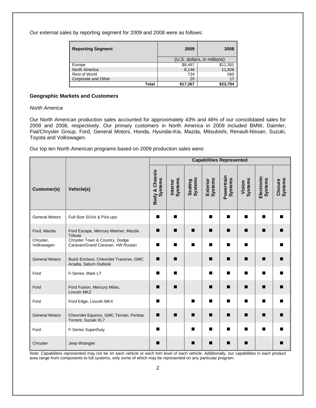Our external sales by reporting segment for 2009 and 2008 were as follows:

| <b>Reporting Segment</b> | 2009     | 2008                        |
|--------------------------|----------|-----------------------------|
|                          |          | (U.S. dollars, in millions) |
| Europe                   | \$8,467  | \$11,301                    |
| <b>North America</b>     | 8,146    | 11,826                      |
| <b>Rest of World</b>     | 734      | 560                         |
| Corporate and Other      | 20       | 17                          |
| Total                    | \$17,367 | \$23,704                    |

### **Geographic Markets and Customers**

# *North America*

Our North American production sales accounted for approximately 43% and 46% of our consolidated sales for 2009 and 2008, respectively. Our primary customers in North America in 2009 included BMW, Daimler, Fiat/Chrysler Group, Ford, General Motors, Honda, Hyundai-Kia, Mazda, Mitsubishi, Renault-Nissan, Suzuki, Toyota and Volkswagen.

Our top ten North American programs based on 2009 production sales were:

|                         |                                                                    | <b>Capabilities Represented</b> |                            |                           |                            |                              |                          |                              |                    |
|-------------------------|--------------------------------------------------------------------|---------------------------------|----------------------------|---------------------------|----------------------------|------------------------------|--------------------------|------------------------------|--------------------|
| Customer(s)             | Vehicle(s)                                                         | Body & Chassis<br>Systems       | <b>Systems</b><br>Interior | <b>Systems</b><br>Seating | <b>Systems</b><br>Exterior | Powertrain<br><b>Systems</b> | <b>Systems</b><br>Vision | Electronic<br><b>Systems</b> | Closure<br>Systems |
| <b>General Motors</b>   | Full-Size SUVs & Pick-ups                                          | ш                               | П                          |                           | ш                          | $\blacksquare$               | П                        | ■                            | ш                  |
| Ford, Mazda             | Ford Escape, Mercury Mariner, Mazda<br>Tribute                     | п                               | П                          | п                         | п                          | п                            | п                        | ■                            |                    |
| Chrysler,<br>Volkswagen | Chrysler Town & Country, Dodge<br>Caravan/Grand Caravan, VW Routan | П                               | п                          | $\blacksquare$            | П                          | п                            | ■                        |                              |                    |
| <b>General Motors</b>   | Buick Enclave, Chevrolet Traverse, GMC<br>Acadia, Saturn Outlook   | П                               | п                          |                           | п                          | п                            | П                        | ■                            |                    |
| Ford                    | F-Series, Mark LT                                                  | П                               | ■                          |                           | $\blacksquare$             | п                            | ■                        | $\blacksquare$               | ш                  |
| Ford                    | Ford Fusion, Mercury Milan,<br>Lincoln MKZ                         | п                               | п                          |                           | $\blacksquare$             | п                            | П                        | ■                            |                    |
| Ford                    | Ford Edge, Lincoln MKX                                             | П                               |                            | ш                         | П                          | $\blacksquare$               | п                        | п                            | ■                  |
| <b>General Motors</b>   | Chevrolet Equinox, GMC Terrain, Pontiac<br>Torrent, Suzuki XL7     | п                               | П                          | П                         | п                          | п                            | п                        | ■                            | ■                  |
| Ford                    | F-Series SuperDuty                                                 | П                               |                            | ■                         | П                          | $\blacksquare$               | П                        | ■                            |                    |
| Chrysler                | Jeep Wrangler                                                      | П                               |                            | ш                         | П                          | ■                            |                          |                              |                    |

Note: Capabilities represented may not be on each vehicle or each trim level of each vehicle. Additionally, our capabilities in each product area range from components to full systems, only some of which may be represented on any particular program.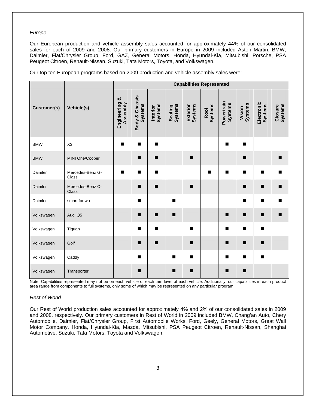# *Europe*

Our European production and vehicle assembly sales accounted for approximately 44% of our consolidated sales for each of 2009 and 2008. Our primary customers in Europe in 2009 included Aston Martin, BMW, Daimler, Fiat/Chrysler Group, Ford, GAZ, General Motors, Honda, Hyundai-Kia, Mitsubishi, Porsche, PSA Peugeot Citroën, Renault-Nissan, Suzuki, Tata Motors, Toyota, and Volkswagen.

Our top ten European programs based on 2009 production and vehicle assembly sales were:

|             |                                  |                              | <b>Capabilities Represented</b> |                     |                    |                     |                        |                       |                          |                       |                           |
|-------------|----------------------------------|------------------------------|---------------------------------|---------------------|--------------------|---------------------|------------------------|-----------------------|--------------------------|-----------------------|---------------------------|
| Customer(s) | Vehicle(s)                       | ×<br>Engineering<br>Assembly | Body & Chassis<br>Systems       | Systems<br>Interior | Seating<br>Systems | Systems<br>Exterior | <b>Systems</b><br>Roof | Powertrain<br>Systems | <b>Systems</b><br>Vision | Electronic<br>Systems | <b>Systems</b><br>Closure |
| <b>BMW</b>  | X <sub>3</sub>                   | ■                            | п                               | п                   |                    |                     |                        | п                     | п                        |                       |                           |
| <b>BMW</b>  | MINI One/Cooper                  |                              | п                               | п                   |                    | $\blacksquare$      |                        |                       | п                        |                       | ٠                         |
| Daimler     | Mercedes-Benz G-<br>Class        | $\blacksquare$               | ■                               | ■                   |                    |                     | п                      | $\blacksquare$        | п                        | $\blacksquare$        | ■                         |
| Daimler     | Mercedes-Benz C-<br><b>Class</b> |                              | п                               | п                   |                    | п                   |                        |                       | п                        | ■                     | ٠                         |
| Daimler     | smart fortwo                     |                              | п                               |                     | ■                  |                     |                        |                       |                          | $\blacksquare$        | ٠                         |
| Volkswagen  | Audi Q5                          |                              | п                               | п                   | п                  |                     |                        | п                     | п                        | ■                     |                           |
| Volkswagen  | Tiguan                           |                              | ■                               | ■                   |                    | ■                   |                        | п                     | п                        | $\blacksquare$        |                           |
| Volkswagen  | Golf                             |                              | п                               | п                   |                    | п                   |                        | п                     | п                        | ■                     |                           |
| Volkswagen  | Caddy                            |                              | $\blacksquare$                  |                     | $\blacksquare$     | п                   |                        | $\blacksquare$        | $\blacksquare$           | $\blacksquare$        |                           |
| Volkswagen  | Transporter                      |                              | ■                               |                     | ш                  | П                   |                        | п                     | п                        |                       |                           |

Note: Capabilities represented may not be on each vehicle or each trim level of each vehicle. Additionally, our capabilities in each product area range from components to full systems, only some of which may be represented on any particular program.

# *Rest of World*

Our Rest of World production sales accounted for approximately 4% and 2% of our consolidated sales in 2009 and 2008, respectively. Our primary customers in Rest of World in 2009 included BMW, Chang'an Auto, Chery Automobile, Daimler, Fiat/Chrysler Group, First Automobile Works, Ford, Geely, General Motors, Great Wall Motor Company, Honda, Hyundai-Kia, Mazda, Mitsubishi, PSA Peugeot Citroën, Renault-Nissan, Shanghai Automotive, Suzuki, Tata Motors, Toyota and Volkswagen.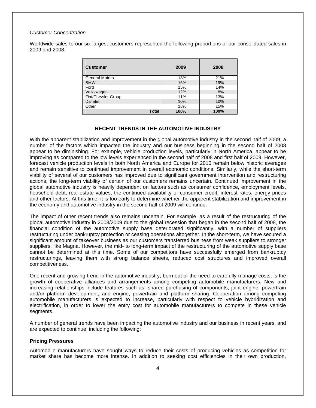# *Customer Concentration*

Worldwide sales to our six largest customers represented the following proportions of our consolidated sales in 2009 and 2008:

| <b>Customer</b>       | 2009 | 2008 |
|-----------------------|------|------|
| <b>General Motors</b> | 18%  | 21%  |
| <b>BMW</b>            | 16%  | 19%  |
| Ford                  | 15%  | 14%  |
| Volkswagen            | 12%  | 8%   |
| Fiat/Chrysler Group   | 11%  | 13%  |
| Daimler               | 10%  | 10%  |
| Other                 | 18%  | 15%  |
| Total                 | 100% | 100% |

### **RECENT TRENDS IN THE AUTOMOTIVE INDUSTRY**

With the apparent stabilization and improvement in the global automotive industry in the second half of 2009, a number of the factors which impacted the industry and our business beginning in the second half of 2008 appear to be diminishing. For example, vehicle production levels, particularly in North America, appear to be improving as compared to the low levels experienced in the second half of 2008 and first half of 2009. However, forecast vehicle production levels in both North America and Europe for 2010 remain below historic averages and remain sensitive to continued improvement in overall economic conditions. Similarly, while the short-term viability of several of our customers has improved due to significant government intervention and restructuring actions, the long-term viability of certain of our customers remains uncertain. Continued improvement in the global automotive industry is heavily dependent on factors such as consumer confidence, employment levels, household debt, real estate values, the continued availability of consumer credit, interest rates, energy prices and other factors. At this time, it is too early to determine whether the apparent stabilization and improvement in the economy and automotive industry in the second half of 2009 will continue.

The impact of other recent trends also remains uncertain. For example, as a result of the restructuring of the global automotive industry in 2008/2009 due to the global recession that began in the second half of 2008, the financial condition of the automotive supply base deteriorated significantly, with a number of suppliers restructuring under bankruptcy protection or ceasing operations altogether. In the short-term, we have secured a significant amount of takeover business as our customers transferred business from weak suppliers to stronger suppliers, like Magna. However, the mid- to long-term impact of the restructuring of the automotive supply base cannot be determined at this time. Some of our competitors have successfully emerged from bankruptcy restructurings, leaving them with strong balance sheets, reduced cost structures and improved overall competitiveness.

One recent and growing trend in the automotive industry, born out of the need to carefully manage costs, is the growth of cooperative alliances and arrangements among competing automobile manufacturers. New and increasing relationships include features such as: shared purchasing of components; joint engine, powertrain and/or platform development; and engine, powertrain and platform sharing. Cooperation among competing automobile manufacturers is expected to increase, particularly with respect to vehicle hybridization and electrification, in order to lower the entry cost for automobile manufacturers to compete in these vehicle segments.

A number of general trends have been impacting the automotive industry and our business in recent years, and are expected to continue, including the following:

### **Pricing Pressures**

Automobile manufacturers have sought ways to reduce their costs of producing vehicles as competition for market share has become more intense. In addition to seeking cost efficiencies in their own production,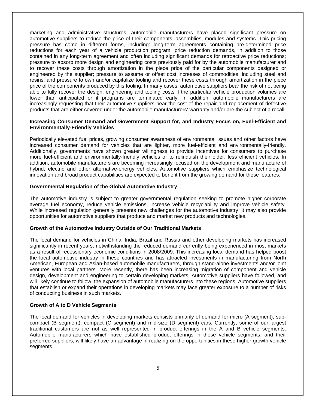marketing and administrative structures, automobile manufacturers have placed significant pressure on automotive suppliers to reduce the price of their components, assemblies, modules and systems. This pricing pressure has come in different forms, including: long-term agreements containing pre-determined price reductions for each year of a vehicle production program; price reduction demands, in addition to those contained in any long-term agreement and often including significant demands for retroactive price reductions; pressure to absorb more design and engineering costs previously paid for by the automobile manufacturer and to recover these costs through amortization in the piece price of the particular components designed or engineered by the supplier; pressure to assume or offset cost increases of commodities, including steel and resins; and pressure to own and/or capitalize tooling and recover these costs through amortization in the piece price of the components produced by this tooling. In many cases, automotive suppliers bear the risk of not being able to fully recover the design, engineering and tooling costs if the particular vehicle production volumes are lower than anticipated or if programs are terminated early. In addition, automobile manufacturers are increasingly requesting that their automotive suppliers bear the cost of the repair and replacement of defective products that are either covered under the automobile manufacturers' warranty and/or are the subject of a recall.

### **Increasing Consumer Demand and Government Support for, and Industry Focus on, Fuel-Efficient and Environmentally-Friendly Vehicles**

Periodically elevated fuel prices, growing consumer awareness of environmental issues and other factors have increased consumer demand for vehicles that are lighter, more fuel-efficient and environmentally-friendly. Additionally, governments have shown greater willingness to provide incentives for consumers to purchase more fuel-efficient and environmentally-friendly vehicles or to relinquish their older, less efficient vehicles. In addition, automobile manufacturers are becoming increasingly focused on the development and manufacture of hybrid, electric and other alternative-energy vehicles. Automotive suppliers which emphasize technological innovation and broad product capabilities are expected to benefit from the growing demand for these features.

# **Governmental Regulation of the Global Automotive Industry**

The automotive industry is subject to greater governmental regulation seeking to promote higher corporate average fuel economy, reduce vehicle emissions, increase vehicle recyclability and improve vehicle safety. While increased regulation generally presents new challenges for the automotive industry, it may also provide opportunities for automotive suppliers that produce and market new products and technologies.

### **Growth of the Automotive Industry Outside of Our Traditional Markets**

The local demand for vehicles in China, India, Brazil and Russia and other developing markets has increased significantly in recent years, notwithstanding the reduced demand currently being experienced in most markets as a result of recessionary economic conditions in 2008/2009. This increasing local demand has helped boost the local automotive industry in these countries and has attracted investments in manufacturing from North American, European and Asian-based automobile manufacturers, through stand-alone investments and/or joint ventures with local partners. More recently, there has been increasing migration of component and vehicle design, development and engineering to certain developing markets. Automotive suppliers have followed, and will likely continue to follow, the expansion of automobile manufacturers into these regions. Automotive suppliers that establish or expand their operations in developing markets may face greater exposure to a number of risks of conducting business in such markets.

# **Growth of A to D Vehicle Segments**

The local demand for vehicles in developing markets consists primarily of demand for micro (A segment), subcompact (B segment), compact (C segment) and mid-size (D segment) cars. Currently, some of our largest traditional customers are not as well represented in product offerings in the A and B vehicle segments. Automobile manufacturers which have established product offerings in these vehicle segments, and their preferred suppliers, will likely have an advantage in realizing on the opportunities in these higher growth vehicle segments.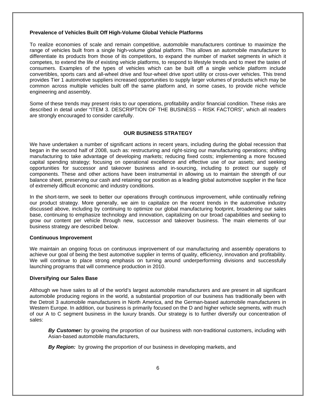# **Prevalence of Vehicles Built Off High-Volume Global Vehicle Platforms**

To realize economies of scale and remain competitive, automobile manufacturers continue to maximize the range of vehicles built from a single high-volume global platform. This allows an automobile manufacturer to differentiate its products from those of its competitors, to expand the number of market segments in which it competes, to extend the life of existing vehicle platforms, to respond to lifestyle trends and to meet the tastes of consumers. Examples of the types of vehicles which can be built off a single vehicle platform include convertibles, sports cars and all-wheel drive and four-wheel drive sport utility or cross-over vehicles. This trend provides Tier 1 automotive suppliers increased opportunities to supply larger volumes of products which may be common across multiple vehicles built off the same platform and, in some cases, to provide niche vehicle engineering and assembly.

Some of these trends may present risks to our operations, profitability and/or financial condition. These risks are described in detail under "ITEM 3. DESCRIPTION OF THE BUSINESS – RISK FACTORS", which all readers are strongly encouraged to consider carefully.

# **OUR BUSINESS STRATEGY**

We have undertaken a number of significant actions in recent years, including during the global recession that began in the second half of 2008, such as: restructuring and right-sizing our manufacturing operations; shifting manufacturing to take advantage of developing markets; reducing fixed costs; implementing a more focused capital spending strategy; focusing on operational excellence and effective use of our assets; and seeking opportunities for successor and takeover business and in-sourcing, including to protect our supply of components. These and other actions have been instrumental in allowing us to maintain the strength of our balance sheet, preserving our cash and retaining our position as a leading global automotive supplier in the face of extremely difficult economic and industry conditions.

In the short-term, we seek to better our operations through continuous improvement, while continually refining our product strategy. More generally, we aim to capitalize on the recent trends in the automotive industry discussed above, including by continuing to optimize our global manufacturing footprint, broadening our sales base, continuing to emphasize technology and innovation, capitalizing on our broad capabilities and seeking to grow our content per vehicle through new, successor and takeover business. The main elements of our business strategy are described below.

# **Continuous Improvement**

We maintain an ongoing focus on continuous improvement of our manufacturing and assembly operations to achieve our goal of being the best automotive supplier in terms of quality, efficiency, innovation and profitability. We will continue to place strong emphasis on turning around underperforming divisions and successfully launching programs that will commence production in 2010.

### **Diversifying our Sales Base**

Although we have sales to all of the world's largest automobile manufacturers and are present in all significant automobile producing regions in the world, a substantial proportion of our business has traditionally been with the Detroit 3 automobile manufacturers in North America, and the German-based automobile manufacturers in Western Europe. In addition, our business is primarily focused on the D and higher vehicle segments, with much of our A to C segment business in the luxury brands. Our strategy is to further diversify our concentration of sales:

*By Customer:* by growing the proportion of our business with non-traditional customers, including with Asian-based automobile manufacturers,

**By Region:** by growing the proportion of our business in developing markets, and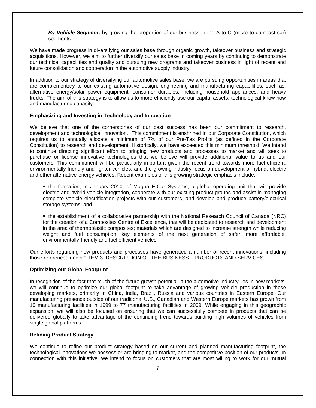*By Vehicle Segment:* by growing the proportion of our business in the A to C (micro to compact car) segments.

We have made progress in diversifying our sales base through organic growth, takeover business and strategic acquisitions. However, we aim to further diversify our sales base in coming years by continuing to demonstrate our technical capabilities and quality and pursuing new programs and takeover business in light of recent and future consolidation and cooperation in the automotive supply industry.

In addition to our strategy of diversifying our automotive sales base, we are pursuing opportunities in areas that are complementary to our existing automotive design, engineering and manufacturing capabilities, such as: alternative energy/solar power equipment; consumer durables, including household appliances; and heavy trucks. The aim of this strategy is to allow us to more efficiently use our capital assets, technological know-how and manufacturing capacity.

### **Emphasizing and Investing in Technology and Innovation**

We believe that one of the cornerstones of our past success has been our commitment to research, development and technological innovation. This commitment is enshrined in our Corporate Constitution, which requires us to annually allocate a minimum of 7% of our Pre-Tax Profits (as defined in the Corporate Constitution) to research and development. Historically, we have exceeded this minimum threshold. We intend to continue directing significant effort to bringing new products and processes to market and will seek to purchase or license innovative technologies that we believe will provide additional value to us and our customers. This commitment will be particularly important given the recent trend towards more fuel-efficient, environmentally-friendly and lighter vehicles, and the growing industry focus on development of hybrid, electric and other alternative-energy vehicles. Recent examples of this growing strategic emphasis include:

 the formation, in January 2010, of Magna E-Car Systems, a global operating unit that will provide electric and hybrid vehicle integration, cooperate with our existing product groups and assist in managing complete vehicle electrification projects with our customers, and develop and produce battery/electrical storage systems; and

 the establishment of a collaborative partnership with the National Research Council of Canada (NRC) for the creation of a Composites Centre of Excellence, that will be dedicated to research and development in the area of thermoplastic composites; materials which are designed to increase strength while reducing weight and fuel consumption, key elements of the next generation of safer, more affordable, environmentally-friendly and fuel efficient vehicles.

Our efforts regarding new products and processes have generated a number of recent innovations, including those referenced under "ITEM 3. DESCRIPTION OF THE BUSINESS – PRODUCTS AND SERVICES".

### **Optimizing our Global Footprint**

In recognition of the fact that much of the future growth potential in the automotive industry lies in new markets, we will continue to optimize our global footprint to take advantage of growing vehicle production in these developing markets, primarily in China, India, Brazil, Russia and various countries in Eastern Europe. Our manufacturing presence outside of our traditional U.S., Canadian and Western Europe markets has grown from 19 manufacturing facilities in 1999 to 77 manufacturing facilities in 2009. While engaging in this geographic expansion, we will also be focused on ensuring that we can successfully compete in products that can be delivered globally to take advantage of the continuing trend towards building high volumes of vehicles from single global platforms.

# **Refining Product Strategy**

We continue to refine our product strategy based on our current and planned manufacturing footprint, the technological innovations we possess or are bringing to market, and the competitive position of our products. In connection with this initiative, we intend to focus on customers that are most willing to work for our mutual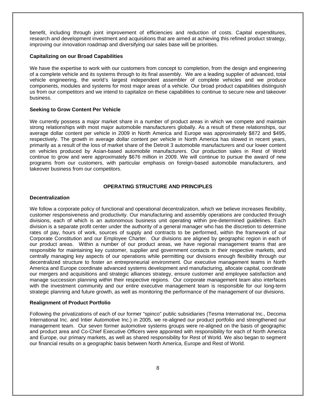benefit, including through joint improvement of efficiencies and reduction of costs. Capital expenditures, research and development investment and acquisitions that are aimed at achieving this refined product strategy, improving our innovation roadmap and diversifying our sales base will be priorities.

### **Capitalizing on our Broad Capabilities**

We have the expertise to work with our customers from concept to completion, from the design and engineering of a complete vehicle and its systems through to its final assembly. We are a leading supplier of advanced, total vehicle engineering, the world's largest independent assembler of complete vehicles and we produce components, modules and systems for most major areas of a vehicle. Our broad product capabilities distinguish us from our competitors and we intend to capitalize on these capabilities to continue to secure new and takeover business.

### **Seeking to Grow Content Per Vehicle**

We currently possess a major market share in a number of product areas in which we compete and maintain strong relationships with most major automobile manufacturers globally. As a result of these relationships, our average dollar content per vehicle in 2009 in North America and Europe was approximately \$872 and \$495, respectively. The growth in average dollar content per vehicle in North America has slowed in recent years, primarily as a result of the loss of market share of the Detroit 3 automobile manufacturers and our lower content on vehicles produced by Asian-based automobile manufacturers. Our production sales in Rest of World continue to grow and were approximately \$676 million in 2009. We will continue to pursue the award of new programs from our customers, with particular emphasis on foreign-based automobile manufacturers, and takeover business from our competitors.

# **OPERATING STRUCTURE AND PRINCIPLES**

### **Decentralization**

We follow a corporate policy of functional and operational decentralization, which we believe increases flexibility, customer responsiveness and productivity. Our manufacturing and assembly operations are conducted through divisions, each of which is an autonomous business unit operating within pre-determined guidelines. Each division is a separate profit center under the authority of a general manager who has the discretion to determine rates of pay, hours of work, sources of supply and contracts to be performed, within the framework of our Corporate Constitution and our Employee Charter. Our divisions are aligned by geographic region in each of our product areas. Within a number of our product areas, we have regional management teams that are responsible for maintaining key customer, supplier and government contacts in their respective markets, and centrally managing key aspects of our operations while permitting our divisions enough flexibility through our decentralized structure to foster an entrepreneurial environment. Our executive management teams in North America and Europe coordinate advanced systems development and manufacturing, allocate capital, coordinate our mergers and acquisitions and strategic alliances strategy, ensure customer and employee satisfaction and manage succession planning within their respective regions. Our corporate management team also interfaces with the investment community and our entire executive management team is responsible for our long-term strategic planning and future growth, as well as monitoring the performance of the management of our divisions.

### **Realignment of Product Portfolio**

Following the privatizations of each of our former "spinco" public subsidiaries (Tesma International Inc., Decoma International Inc. and Intier Automotive Inc.) in 2005, we re-aligned our product portfolio and strengthened our management team. Our seven former automotive systems groups were re-aligned on the basis of geographic and product area and Co-Chief Executive Officers were appointed with responsibility for each of North America and Europe, our primary markets, as well as shared responsibility for Rest of World. We also began to segment our financial results on a geographic basis between North America, Europe and Rest of World.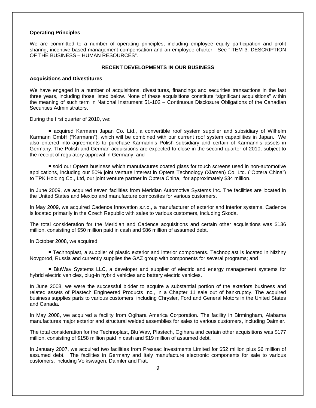### **Operating Principles**

We are committed to a number of operating principles, including employee equity participation and profit sharing, incentive-based management compensation and an employee charter. See "ITEM 3. DESCRIPTION OF THE BUSINESS – HUMAN RESOURCES".

### **RECENT DEVELOPMENTS IN OUR BUSINESS**

### **Acquisitions and Divestitures**

We have engaged in a number of acquisitions, divestitures, financings and securities transactions in the last three years, including those listed below. None of these acquisitions constitute "significant acquisitions" within the meaning of such term in National Instrument 51-102 – Continuous Disclosure Obligations of the Canadian Securities Administrators.

During the first quarter of 2010, we:

**E** acquired Karmann Japan Co. Ltd., a convertible roof system supplier and subsidiary of Wilhelm Karmann GmbH ("Karmann"), which will be combined with our current roof system capabilities in Japan. We also entered into agreements to purchase Karmann's Polish subsidiary and certain of Karmann's assets in Germany. The Polish and German acquisitions are expected to close in the second quarter of 2010, subject to the receipt of regulatory approval in Germany; and

 sold our Optera business which manufactures coated glass for touch screens used in non-automotive applications, including our 50% joint venture interest in Optera Technology (Xiamen) Co. Ltd. ("Optera China") to TPK Holding Co., Ltd, our joint venture partner in Optera China, for approximately \$34 million.

In June 2009, we acquired seven facilities from Meridian Automotive Systems Inc. The facilities are located in the United States and Mexico and manufacture composites for various customers.

In May 2009, we acquired Cadence Innovation s.r.o., a manufacturer of exterior and interior systems. Cadence is located primarily in the Czech Republic with sales to various customers, including Skoda.

The total consideration for the Meridian and Cadence acquisitions and certain other acquisitions was \$136 million, consisting of \$50 million paid in cash and \$86 million of assumed debt.

In October 2008, we acquired:

 Technoplast, a supplier of plastic exterior and interior components. Technoplast is located in Nizhny Novgorod, Russia and currently supplies the GAZ group with components for several programs; and

 BluWav Systems LLC, a developer and supplier of electric and energy management systems for hybrid electric vehicles, plug-in hybrid vehicles and battery electric vehicles.

In June 2008, we were the successful bidder to acquire a substantial portion of the exteriors business and related assets of Plastech Engineered Products Inc., in a Chapter 11 sale out of bankruptcy. The acquired business supplies parts to various customers, including Chrysler, Ford and General Motors in the United States and Canada.

In May 2008, we acquired a facility from Ogihara America Corporation. The facility in Birmingham, Alabama manufactures major exterior and structural welded assemblies for sales to various customers, including Daimler.

The total consideration for the Technoplast, Blu Wav, Plastech, Ogihara and certain other acquisitions was \$177 million, consisting of \$158 million paid in cash and \$19 million of assumed debt.

In January 2007, we acquired two facilities from Pressac Investments Limited for \$52 million plus \$6 million of assumed debt. The facilities in Germany and Italy manufacture electronic components for sale to various customers, including Volkswagen, Daimler and Fiat.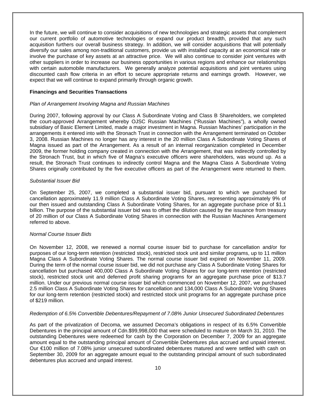In the future, we will continue to consider acquisitions of new technologies and strategic assets that complement our current portfolio of automotive technologies or expand our product breadth, provided that any such acquisition furthers our overall business strategy. In addition, we will consider acquisitions that will potentially diversify our sales among non-traditional customers, provide us with installed capacity at an economical rate or involve the purchase of key assets at an attractive price. We will also continue to consider joint ventures with other suppliers in order to increase our business opportunities in various regions and enhance our relationships with certain automobile manufacturers. We generally analyze potential acquisitions and joint ventures using discounted cash flow criteria in an effort to secure appropriate returns and earnings growth. However, we expect that we will continue to expand primarily through organic growth.

### **Financings and Securities Transactions**

### *Plan of Arrangement Involving Magna and Russian Machines*

During 2007, following approval by our Class A Subordinate Voting and Class B Shareholders, we completed the court-approved Arrangement whereby OJSC Russian Machines ("Russian Machines"), a wholly owned subsidiary of Basic Element Limited, made a major investment in Magna. Russian Machines' participation in the arrangements it entered into with the Stronach Trust in connection with the Arrangement terminated on October 3, 2008. Russian Machines no longer has any interest in the 20 million Class A Subordinate Voting Shares of Magna issued as part of the Arrangement. As a result of an internal reorganization completed in December 2009, the former holding company created in connection with the Arrangement, that was indirectly controlled by the Stronach Trust, but in which five of Magna's executive officers were shareholders, was wound up. As a result, the Stronach Trust continues to indirectly control Magna and the Magna Class A Subordinate Voting Shares originally contributed by the five executive officers as part of the Arrangement were returned to them.

### *Substantial Issuer Bid*

On September 25, 2007, we completed a substantial issuer bid, pursuant to which we purchased for cancellation approximately 11.9 million Class A Subordinate Voting Shares, representing approximately 9% of our then issued and outstanding Class A Subordinate Voting Shares, for an aggregate purchase price of \$1.1 billion. The purpose of the substantial issuer bid was to offset the dilution caused by the issuance from treasury of 20 million of our Class A Subordinate Voting Shares in connection with the Russian Machines Arrangement referred to above.

### *Normal Course Issuer Bids*

On November 12, 2008, we renewed a normal course issuer bid to purchase for cancellation and/or for purposes of our long-term retention (restricted stock), restricted stock unit and similar programs, up to 11 million Magna Class A Subordinate Voting Shares. The normal course issuer bid expired on November 11, 2009. During the term of the normal course issuer bid, we did not purchase any Class A Subordinate Voting Shares for cancellation but purchased 400,000 Class A Subordinate Voting Shares for our long-term retention (restricted stock), restricted stock unit and deferred profit sharing programs for an aggregate purchase price of \$13.7 million. Under our previous normal course issuer bid which commenced on November 12, 2007, we purchased 2.5 million Class A Subordinate Voting Shares for cancellation and 134,000 Class A Subordinate Voting Shares for our long-term retention (restricted stock) and restricted stock unit programs for an aggregate purchase price of \$219 million.

### *Redemption of 6.5% Convertible Debentures/Repayment of 7.08% Junior Unsecured Subordinated Debentures*

As part of the privatization of Decoma, we assumed Decoma's obligations in respect of its 6.5% Convertible Debentures in the principal amount of Cdn.\$99,998,000 that were scheduled to mature on March 31, 2010. The outstanding Debentures were redeemed for cash by the Corporation on December 7, 2009 for an aggregate amount equal to the outstanding principal amount of Convertible Debentures plus accrued and unpaid interest. Our €100 million of 7.08% junior unsecured subordinated debentures matured and were settled with cash on September 30, 2009 for an aggregate amount equal to the outstanding principal amount of such subordinated debentures plus accrued and unpaid interest.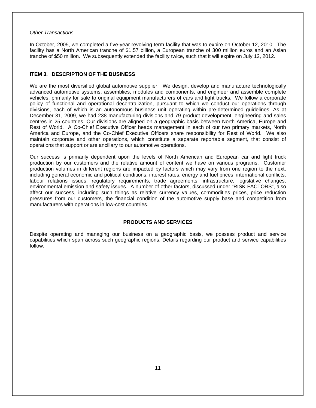# *Other Transactions*

In October, 2005, we completed a five-year revolving term facility that was to expire on October 12, 2010. The facility has a North American tranche of \$1.57 billion, a European tranche of 300 million euros and an Asian tranche of \$50 million. We subsequently extended the facility twice, such that it will expire on July 12, 2012.

# **ITEM 3. DESCRIPTION OF THE BUSINESS**

We are the most diversified global automotive supplier. We design, develop and manufacture technologically advanced automotive systems, assemblies, modules and components, and engineer and assemble complete vehicles, primarily for sale to original equipment manufacturers of cars and light trucks. We follow a corporate policy of functional and operational decentralization, pursuant to which we conduct our operations through divisions, each of which is an autonomous business unit operating within pre-determined guidelines. As at December 31, 2009, we had 238 manufacturing divisions and 79 product development, engineering and sales centres in 25 countries. Our divisions are aligned on a geographic basis between North America, Europe and Rest of World. A Co-Chief Executive Officer heads management in each of our two primary markets, North America and Europe, and the Co-Chief Executive Officers share responsibility for Rest of World. We also maintain corporate and other operations, which constitute a separate reportable segment, that consist of operations that support or are ancillary to our automotive operations.

Our success is primarily dependent upon the levels of North American and European car and light truck production by our customers and the relative amount of content we have on various programs. Customer production volumes in different regions are impacted by factors which may vary from one region to the next, including general economic and political conditions, interest rates, energy and fuel prices, international conflicts, labour relations issues, regulatory requirements, trade agreements, infrastructure, legislative changes, environmental emission and safety issues. A number of other factors, discussed under "RISK FACTORS", also affect our success, including such things as relative currency values, commodities prices, price reduction pressures from our customers, the financial condition of the automotive supply base and competition from manufacturers with operations in low-cost countries.

# **PRODUCTS AND SERVICES**

Despite operating and managing our business on a geographic basis, we possess product and service capabilities which span across such geographic regions. Details regarding our product and service capabilities follow: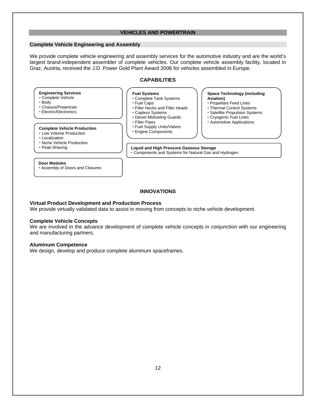# **VEHICLES AND POWERTRAIN**

### **Complete Vehicle Engineering and Assembly**

We provide complete vehicle engineering and assembly services for the automotive industry and are the world's largest brand-independent assembler of complete vehicles. Our complete vehicle assembly facility, located in Graz, Austria, received the J.D. Power Gold Plant Award 2006 for vehicles assembled in Europe.

**CAPABILITIES** 

#### **Engineering Services**  Complete Vehicle Body Chassis/Powertrain Electric/Electronics **Complete Vehicle Production**  Low Volume Production . Localization • Niche Vehicle Production<br>• Peak-Shaving **Liquid and High Pressure Gaseous Storage**  Components and Systems for Natural Gas and Hydrogen **Fuel Systems**  Complete Tank Systems Fuel Caps Filler Necks and Filler Heads Capless Systems Diesel Misfueling Guards Filler Pipes Fuel Supply Units/Valves Engine Components **Space Technology (including Aviation)**  Propellant Feed Lines Thermal Control Systems Satellite Propulsion Systems Cryogenic Fuel Lines Automotive Applications **Door Modules**  Assembly of Doors and Closures

# **INNOVATIONS**

### **Virtual Product Development and Production Process**

We provide virtually validated data to assist in moving from concepts to niche vehicle development.

### **Complete Vehicle Concepts**

We are involved in the advance development of complete vehicle concepts in conjunction with our engineering and manufacturing partners.

### **Aluminum Competence**

We design, develop and produce complete aluminum spaceframes.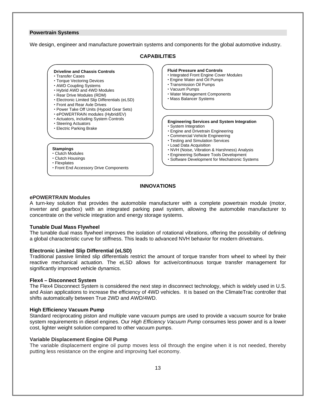### **Powertrain Systems**

We design, engineer and manufacture powertrain systems and components for the global automotive industry.

# **CAPABILITIES**



**INNOVATIONS** 

### **ePOWERTRAIN Modules**

A turn-key solution that provides the automobile manufacturer with a complete powertrain module (motor, inverter and gearbox) with an integrated parking pawl system, allowing the automobile manufacturer to concentrate on the vehicle integration and energy storage systems.

### **Tunable Dual Mass Flywheel**

The tunable dual mass flywheel improves the isolation of rotational vibrations, offering the possibility of defining a global characteristic curve for stiffness. This leads to advanced NVH behavior for modern drivetrains.

### **Electronic Limited Slip Differential (eLSD)**

Front End Accessory Drive Components

Traditional passive limited slip differentials restrict the amount of torque transfer from wheel to wheel by their reactive mechanical actuation. The eLSD allows for active/continuous torque transfer management for significantly improved vehicle dynamics.

### **Flex4 – Disconnect System**

The Flex4 Disconnect System is considered the next step in disconnect technology, which is widely used in U.S. and Asian applications to increase the efficiency of 4WD vehicles. It is based on the ClimateTrac controller that shifts automatically between True 2WD and AWD/4WD.

### **High Efficiency Vacuum Pump**

Standard reciprocating piston and multiple vane vacuum pumps are used to provide a vacuum source for brake system requirements in diesel engines. Our *High Efficiency Vacuum Pump* consumes less power and is a lower cost, lighter weight solution compared to other vacuum pumps.

### **Variable Displacement Engine Oil Pump**

The variable displacement engine oil pump moves less oil through the engine when it is not needed, thereby putting less resistance on the engine and improving fuel economy.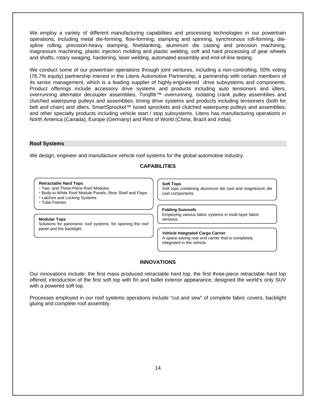We employ a variety of different manufacturing capabilities and processing technologies in our powertrain operations, including metal die-forming, flow-forming, stamping and spinning, synchronous roll-forming, diespline rolling, precision-heavy stamping, fineblanking, aluminum die casting and precision machining, magnesium machining, plastic injection molding and plastic welding, soft and hard processing of gear wheels and shafts, rotary swaging, hardening, laser welding, automated assembly and end-of-line testing.

We conduct some of our powertrain operations through joint ventures, including a non-controlling, 50% voting (76.7% equity) partnership interest in the Litens Automotive Partnership, a partnership with certain members of its senior management, which is a leading supplier of highly-engineered drive subsystems and components. Product offerings include accessory drive systems and products including auto tensioners and idlers, overrunning alternator decoupler assemblies, Torqfiltr™ overrunning, isolating crank pulley assemblies and clutched waterpump pulleys and assemblies; timing drive systems and products including tensioners (both for belt and chain) and idlers, SmartSprocket™ tuned sprockets and clutched waterpump pulleys and assemblies; and other specialty products including vehicle start / stop subsystems. Litens has manufacturing operations in North America (Canada), Europe (Germany) and Rest of World (China, Brazil and India).

### **Roof Systems**

We design, engineer and manufacture vehicle roof systems for the global automotive industry.

# **CAPABILITIES**

#### **Retractable Hard Tops**

- Two- and Three-Piece Roof Modules
- Body-in-White Roof Module Panels, Rear Shelf and Flaps
- Latches and Locking Systems
- Tube Frames

#### **Modular Tops**

Solutions for panoramic roof systems, for opening the roof panel and the backlight.

**Soft Tops** 

Soft tops containing aluminum die cast and magnesium die cast components.

#### **Folding Sunroofs**

Employing various fabric systems in multi-layer fabric versions.

#### **Vehicle Integrated Cargo Carrier**

A space-saving rear end carrier that is completely integrated in the vehicle.

# **INNOVATIONS**

Our innovations include: the first mass produced retractable hard top; the first three-piece retractable hard top offered; introduction of the first soft top with fin and bullet exterior appearance; designed the world's only SUV with a powered soft top.

Processes employed in our roof systems operations include "cut and sew" of complete fabric covers, backlight gluing and complete roof assembly.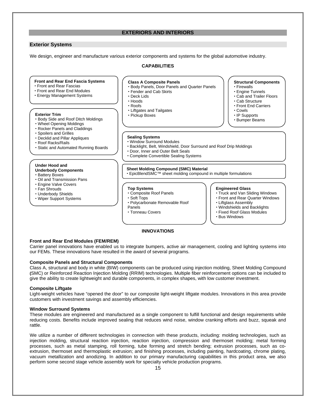# **EXTERIORS AND INTERIORS**

# **Exterior Systems**

We design, engineer and manufacture various exterior components and systems for the global automotive industry.

### **CAPABILITIES**

### **Front and Rear End Fascia Systems**

- Front and Rear Fascias
- Front and Rear End Modules
- Energy Management Systems

#### **Exterior Trim**

- Body Side and Roof Ditch Moldings
- Wheel Opening Moldings
- Rocker Panels and Claddings
- Spoilers and Grilles
- Decklid and Pillar Appliques
- Roof Racks/Rails
- Static and Automated Running Boards

#### **Under Hood and**

- **Underbody Components**
- Battery Boxes
- Oil and Transmission Pans
- Engine Valve Covers
- Fan Shrouds
- Underbody Shields
- Wiper Support Systems

#### **Class A Composite Panels**

- Body Panels, Door Panels and Quarter Panels
- Fender and Cab Skirts
- Deck Lids
- Hoods
- Roofs
- Liftgates and Tailgates
- Pickup Boxes

#### **Sealing Systems**

- Window Surround Modules
- Backlight, Belt, Windshield, Door Surround and Roof Drip Moldings
- Door, Inner and Outer Belt Seals
- Complete Convertible Sealing Systems

# **Sheet Molding Compound (SMC) Material**

EpicBlendSMC™ sheet molding compound in multiple formulations

#### **Top Systems**

- Composite Roof Panels
- Soft Tops Polycarbonate Removable Roof

Tonneau Covers

Panels

#### **Engineered Glass**

• Truck and Van Sliding Windows

**Structural Components** 

 Firewalls Engine Tunnels Cab and Trailer Floors Cab Structure Front End Carriers

 Cowls • IP Supports Bumper Beams

- Front and Rear Quarter Windows
- Liftglass Assembly
- Windshields and Backlights
- Fixed Roof Glass Modules
- Bus Windows

**Front and Rear End Modules (FEM/REM)** 

Carrier panel innovations have enabled us to integrate bumpers, active air management, cooling and lighting systems into our FEMs. These innovations have resulted in the award of several programs.

**INNOVATIONS** 

### **Composite Panels and Structural Components**

Class A, structural and body in white (BIW) components can be produced using injection molding, Sheet Molding Compound **(**SMC) or Reinforced Reaction Injection Molding (RRIM) technologies. Multiple fiber reinforcement options can be included to give the ability to create lightweight and durable components, in complex shapes, with low customer investment.

### **Composite Liftgate**

Light-weight vehicles have "opened the door" to our composite light-weight liftgate modules. Innovations in this area provide customers with investment savings and assembly efficiencies.

### **Window Surround Systems**

These modules are engineered and manufactured as a single component to fulfill functional and design requirements while reducing costs. Benefits include improved sealing that reduces wind noise, window cranking efforts and buzz, squeak and rattle.

We utilize a number of different technologies in connection with these products, including: molding technologies, such as injection molding, structural reaction injection, reaction injection, compression and thermoset molding; metal forming processes, such as metal stamping, roll forming, tube forming and stretch bending; extrusion processes, such as coextrusion, thermoset and thermoplastic extrusion; and finishing processes, including painting, hardcoating, chrome plating, vacuum metallization and anodizing. In addition to our primary manufacturing capabilities in this product area, we also perform some second stage vehicle assembly work for specialty vehicle production programs.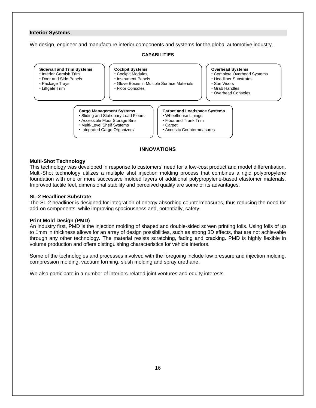### **Interior Systems**

We design, engineer and manufacture interior components and systems for the global automotive industry.

### **CAPABILITIES**



# **INNOVATIONS**

### **Multi-Shot Technology**

This technology was developed in response to customers' need for a low-cost product and model differentiation. Multi-Shot technology utilizes a multiple shot injection molding process that combines a rigid polypropylene foundation with one or more successive molded layers of additional polypropylene-based elastomer materials. Improved tactile feel, dimensional stability and perceived quality are some of its advantages.

### **SL-2 Headliner Substrate**

The SL-2 headliner is designed for integration of energy absorbing countermeasures, thus reducing the need for add-on components, while improving spaciousness and, potentially, safety.

### **Print Mold Design (PMD)**

An industry first, PMD is the injection molding of shaped and double-sided screen printing foils. Using foils of up to 1mm in thickness allows for an array of design possibilities, such as strong 3D effects, that are not achievable through any other technology. The material resists scratching, fading and cracking. PMD is highly flexible in volume production and offers distinguishing characteristics for vehicle interiors.

Some of the technologies and processes involved with the foregoing include low pressure and injection molding, compression molding, vacuum forming, slush molding and spray urethane.

We also participate in a number of interiors-related joint ventures and equity interests.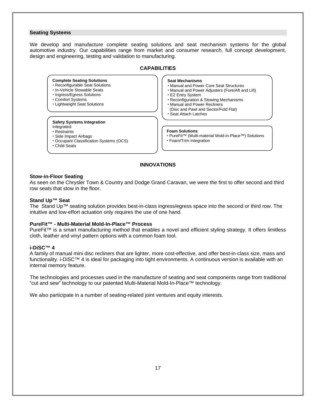### **Seating Systems**

We develop and manufacture complete seating solutions and seat mechanism systems for the global automotive industry. Our capabilities range from market and consumer research, full concept development, design and engineering, testing and validation to manufacturing.

# **CAPABILITIES**

### **Complete Seating Solutions**

- Reconfigurable Seat Solutions . In-Vehicle Stowable Seats
- **· Ingress/Egress Solutions**
- Comfort Systems
- Lightweight Seat Solutions

### **Safety Systems Integration**

- Integrated:
- Restraints
- Side Impact Airbags
- Occupant Classification Systems (OCS)
- Child Seats

### **Seat Mechanisms**

- Manual and Power Core Seat Structures
- Manual and Power Adjusters (Fore/Aft and Lift)
- EZ Entry System
- Reconfiguration & Stowing Mechanisms
- Manual and Power Recliners
- (Disc and Pawl and Sector/Fold Flat)
- Seat Attach Latches

### **Foam Solutions**

- PureFit™ (Multi-material Mold-in-Place™) Solutions
- Foam/Trim Integration

# **INNOVATIONS**

### **Stow-in-Floor Seating**

As seen on the Chrysler Town & Country and Dodge Grand Caravan, we were the first to offer second and third row seats that stow in the floor.

### **Stand Up™ Seat**

The Stand Up™ seating solution provides best-in-class ingress/egress space into the second or third row. The intuitive and low-effort actuation only requires the use of one hand.

# **PureFit™ - Multi-Material Mold-In-Place™ Process**

PureFit™ is a smart manufacturing method that enables a novel and efficient styling strategy. It offers limitless cloth, leather and vinyl pattern options with a common foam tool.

### **i-DiSC™ 4**

A family of manual mini disc recliners that are lighter, more cost-effective, and offer best-in-class size, mass and functionality. i-DiSC™ 4 is ideal for packaging into tight environments. A continuous version is available with an internal memory feature.

The technologies and processes used in the manufacture of seating and seat components range from traditional "cut and sew" technology to our patented Multi-Material Mold-In-Place™ technology.

We also participate in a number of seating-related joint ventures and equity interests.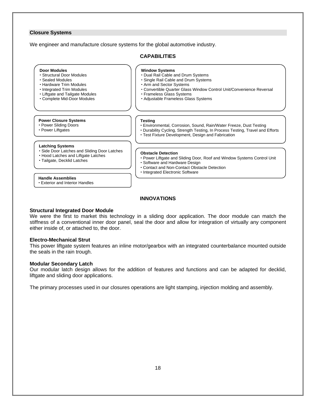### **Closure Systems**

We engineer and manufacture closure systems for the global automotive industry.

### **CAPABILITIES**

#### **Door Modules**  Structural Door Modules Sealed Modules Hardware Trim Modules • Integrated Trim Modules Liftgate and Tailgate Modules Complete Mid-Door Modules **Window Systems**  Dual Rail Cable and Drum Systems Single Rail Cable and Drum Systems Arm and Sector Systems Frameless Glass Systems Adjustable Frameless Glass Systems **Power Closure Systems**  Power Sliding Doors Power Liftgates **Latching Systems**  Side Door Latches and Sliding Door Latches Hood Latches and Liftgate Latches Tailgate, Decklid Latches **Obstacle Detection**  Power Liftgate and Sliding Door, Roof and Window Systems Control Unit Software and Hardware Design Contact and Non-Contact Obstacle Detection **Testing**  Environmental, Corrosion, Sound, Rain/Water Freeze, Dust Testing Durability Cycling, Strength Testing, In Process Testing, Travel and Efforts Test Fixture Development, Design and Fabrication

#### **Handle Assemblies**

Exterior and Interior Handles

- 
- 
- 
- Integrated Electronic Software

# **INNOVATIONS**

#### **Structural Integrated Door Module**

We were the first to market this technology in a sliding door application. The door module can match the stiffness of a conventional inner door panel, seal the door and allow for integration of virtually any component either inside of, or attached to, the door.

#### **Electro-Mechanical Strut**

This power liftgate system features an inline motor/gearbox with an integrated counterbalance mounted outside the seals in the rain trough.

### **Modular Secondary Latch**

Our modular latch design allows for the addition of features and functions and can be adapted for decklid, liftgate and sliding door applications.

The primary processes used in our closures operations are light stamping, injection molding and assembly.

Convertible Quarter Glass Window Control Unit/Convenience Reversal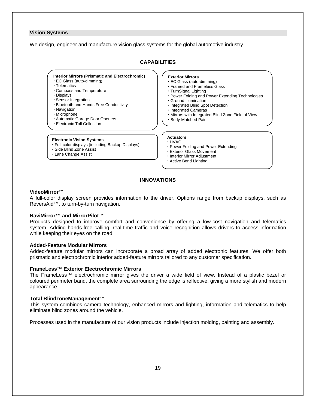### **Vision Systems**

We design, engineer and manufacture vision glass systems for the global automotive industry.

#### **CAPABILITIES Interior Mirrors (Prismatic and Electrochromic)**  EC Glass (auto-dimming) Telematics Compass and Temperature Displays Sensor Integration Bluetooth and Hands Free Conductivity Navigation Microphone Automatic Garage Door Openers Electronic Toll Collection **Exterior Mirrors**  EC Glass (auto-dimming) Framed and Frameless Glass TurnSignal Lighting Power Folding and Power Extending Technologies Ground Illumination • Integrated Blind Spot Detection · Integrated Cameras Mirrors with Integrated Blind Zone Field of View Body-Matched Paint **Actuators**  HVAC **Electronic Vision Systems**

- Full-color displays (including Backup Displays)
- Side Blind Zone Assist
- Lane Change Assist
- Power Folding and Power Extending
- Exterior Glass Movement
- **· Interior Mirror Adjustment**
- Active Bend Lighting

# **INNOVATIONS**

### **VideoMirror™**

A full-color display screen provides information to the driver. Options range from backup displays, such as ReversAid™, to turn-by-turn navigation.

### **NaviMirror™ and MirrorPilot™**

Products designed to improve comfort and convenience by offering a low-cost navigation and telematics system. Adding hands-free calling, real-time traffic and voice recognition allows drivers to access information while keeping their eyes on the road.

### **Added-Feature Modular Mirrors**

Added-feature modular mirrors can incorporate a broad array of added electronic features. We offer both prismatic and electrochromic interior added-feature mirrors tailored to any customer specification.

### **FrameLess™ Exterior Electrochromic Mirrors**

The FrameLess™ electrochromic mirror gives the driver a wide field of view. Instead of a plastic bezel or coloured perimeter band, the complete area surrounding the edge is reflective, giving a more stylish and modern appearance.

### **Total BlindzoneManagement™**

This system combines camera technology, enhanced mirrors and lighting, information and telematics to help eliminate blind zones around the vehicle.

Processes used in the manufacture of our vision products include injection molding, painting and assembly.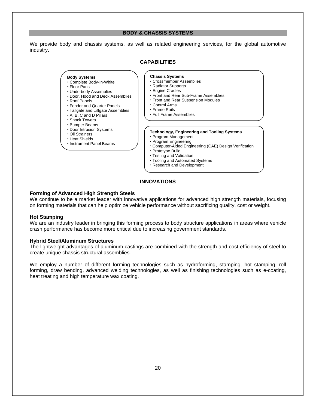### **BODY & CHASSIS SYSTEMS**

We provide body and chassis systems, as well as related engineering services, for the global automotive industry.

### **CAPABILITIES**



- Tooling and Automated Systems
- Research and Development

# **INNOVATIONS**

### **Forming of Advanced High Strength Steels**

We continue to be a market leader with innovative applications for advanced high strength materials, focusing on forming materials that can help optimize vehicle performance without sacrificing quality, cost or weight.

#### **Hot Stamping**

We are an industry leader in bringing this forming process to body structure applications in areas where vehicle crash performance has become more critical due to increasing government standards.

### **Hybrid Steel/Aluminum Structures**

The lightweight advantages of aluminum castings are combined with the strength and cost efficiency of steel to create unique chassis structural assemblies.

We employ a number of different forming technologies such as hydroforming, stamping, hot stamping, roll forming, draw bending, advanced welding technologies, as well as finishing technologies such as e-coating, heat treating and high temperature wax coating.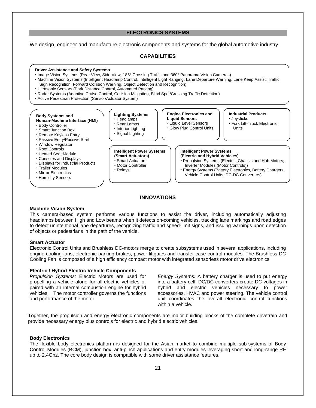### **ELECTRONICS SYSTEMS**

We design, engineer and manufacture electronic components and systems for the global automotive industry.

# **CAPABILITIES**



### **INNOVATIONS**

### **Machine Vision System**

This camera-based system performs various functions to assist the driver, including automatically adjusting headlamps between High and Low beams when it detects on-coming vehicles, tracking lane markings and road edges to detect unintentional lane departures, recognizing traffic and speed-limit signs, and issuing warnings upon detection of objects or pedestrians in the path of the vehicle.

### **Smart Actuator**

Electronic Control Units and Brushless DC-motors merge to create subsystems used in several applications, including engine cooling fans, electronic parking brakes, power liftgates and transfer case control modules. The Brushless DC Cooling Fan is composed of a high efficiency compact motor with integrated sensorless motor drive electronics.

### **Electric / Hybrid Electric Vehicle Components**

*Propulsion Systems:* Electric Motors are used for propelling a vehicle alone for all-electric vehicles or paired with an internal combustion engine for hybrid vehicles. The motor controller governs the functions and performance of the motor.

*Energy Systems:* A battery charger is used to put energy into a battery cell. DC/DC converters create DC voltages in hybrid and electric vehicles necessary to power accessories, HVAC and power steering. The vehicle control unit coordinates the overall electronic control functions within a vehicle.

Together, the propulsion and energy electronic components are major building blocks of the complete drivetrain and provide necessary energy plus controls for electric and hybrid electric vehicles.

### **Body Electronics**

The flexible body electronics platform is designed for the Asian market to combine multiple sub-systems of Body Control Modules (BCM), junction box, anti-pinch applications and entry modules leveraging short and long-range RF up to 2.4Ghz. The core body design is compatible with some driver assistance features.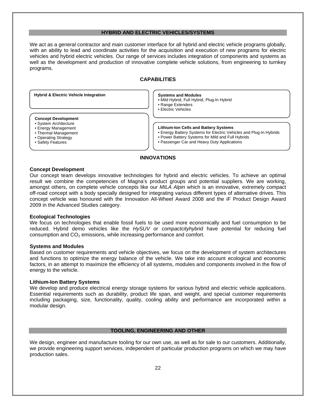### **HYBRID AND ELECTRIC VEHICLES/SYSTEMS**

We act as a general contractor and main customer interface for all hybrid and electric vehicle programs globally, with an ability to lead and coordinate activities for the acquisition and execution of new programs for electric vehicles and hybrid electric vehicles. Our range of services includes integration of components and systems as well as the development and production of innovative complete vehicle solutions, from engineering to turnkey programs.

# **CAPABILITIES**

#### **Concept Development**  • System Architecture • Energy Management • Thermal Management • Operating Strategy • Safety Features **Systems and Modules •** Mild Hybrid, Full Hybrid, Plug-In Hybrid • Range Extenders • Electric Vehicles **Lithium-Ion Cells and Battery Systems**  • Energy Battery Systems for Electric Vehicles and Plug-In Hybrids • Power Battery Systems for Mild and Full Hybrids • Passenger Car and Heavy Duty Applications **Hybrid & Electric Vehicle Integration**

### **INNOVATIONS**

### **Concept Development**

Our concept team develops innovative technologies for hybrid and electric vehicles. To achieve an optimal result we combine the competencies of Magna's product groups and potential suppliers. We are working, amongst others, on complete vehicle concepts like our *MILA Alpin* which is an innovative, extremely compact off-road concept with a body specially designed for integrating various different types of alternative drives. This concept vehicle was honoured with the Innovation All-Wheel Award 2008 and the iF Product Design Award 2009 in the Advanced Studies category.

### **Ecological Technologies**

We focus on technologies that enable fossil fuels to be used more economically and fuel consumption to be reduced. Hybrid demo vehicles like the *HySUV* or *compactcityhybrid* have potential for reducing fuel consumption and  $CO<sub>2</sub>$  emissions, while increasing performance and comfort.

### **Systems and Modules**

Based on customer requirements and vehicle objectives, we focus on the development of system architectures and functions to optimize the energy balance of the vehicle. We take into account ecological and economic factors, in an attempt to maximize the efficiency of all systems, modules and components involved in the flow of energy to the vehicle.

### **Lithium-Ion Battery Systems**

We develop and produce electrical energy storage systems for various hybrid and electric vehicle applications. Essential requirements such as durability, product life span, and weight, and special customer requirements including packaging, size, functionality, quality, cooling ability and performance are incorporated within a modular design.

### **TOOLING, ENGINEERING AND OTHER**

We design, engineer and manufacture tooling for our own use, as well as for sale to our customers. Additionally, we provide engineering support services, independent of particular production programs on which we may have production sales.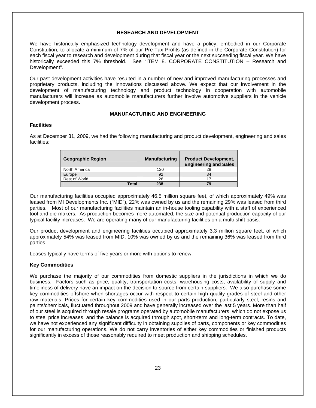# **RESEARCH AND DEVELOPMENT**

We have historically emphasized technology development and have a policy, embodied in our Corporate Constitution, to allocate a minimum of 7% of our Pre-Tax Profits (as defined in the Corporate Constitution) for each fiscal year to research and development during that fiscal year or the next succeeding fiscal year. We have historically exceeded this 7% threshold. See "ITEM 8. CORPORATE CONSTITUTION – Research and Development".

Our past development activities have resulted in a number of new and improved manufacturing processes and proprietary products, including the innovations discussed above. We expect that our involvement in the development of manufacturing technology and product technology in cooperation with automobile manufacturers will increase as automobile manufacturers further involve automotive suppliers in the vehicle development process.

# **MANUFACTURING AND ENGINEERING**

# **Facilities**

As at December 31, 2009, we had the following manufacturing and product development, engineering and sales facilities:

| <b>Geographic Region</b> | <b>Manufacturing</b> | <b>Product Development,</b><br><b>Engineering and Sales</b> |
|--------------------------|----------------------|-------------------------------------------------------------|
| North America            | 120                  | 28                                                          |
| Europe                   | 92                   | 34                                                          |
| <b>Rest of World</b>     | 26                   | 17                                                          |
| Total                    | 238                  | 79                                                          |

Our manufacturing facilities occupied approximately 46.5 million square feet, of which approximately 49% was leased from MI Developments Inc. ("MID"), 22% was owned by us and the remaining 29% was leased from third parties. Most of our manufacturing facilities maintain an in-house tooling capability with a staff of experienced tool and die makers. As production becomes more automated, the size and potential production capacity of our typical facility increases. We are operating many of our manufacturing facilities on a multi-shift basis.

Our product development and engineering facilities occupied approximately 3.3 million square feet, of which approximately 54% was leased from MID, 10% was owned by us and the remaining 36% was leased from third parties.

Leases typically have terms of five years or more with options to renew.

# **Key Commodities**

We purchase the majority of our commodities from domestic suppliers in the jurisdictions in which we do business. Factors such as price, quality, transportation costs, warehousing costs, availability of supply and timeliness of delivery have an impact on the decision to source from certain suppliers. We also purchase some key commodities offshore when shortages occur with respect to certain high quality grades of steel and other raw materials. Prices for certain key commodities used in our parts production, particularly steel, resins and paints/chemicals, fluctuated throughout 2009 and have generally increased over the last 5 years. More than half of our steel is acquired through resale programs operated by automobile manufacturers, which do not expose us to steel price increases, and the balance is acquired through spot, short-term and long-term contracts. To date, we have not experienced any significant difficulty in obtaining supplies of parts, components or key commodities for our manufacturing operations. We do not carry inventories of either key commodities or finished products significantly in excess of those reasonably required to meet production and shipping schedules.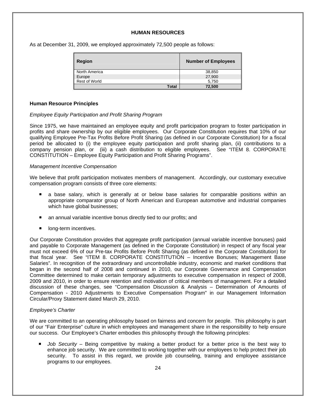# **HUMAN RESOURCES**

As at December 31, 2009, we employed approximately 72,500 people as follows:

| Region               | <b>Number of Employees</b> |
|----------------------|----------------------------|
| North America        | 38,850                     |
| Europe               | 27,900                     |
| <b>Rest of World</b> | 5.750                      |
| Total                | 72,500                     |

# **Human Resource Principles**

# *Employee Equity Participation and Profit Sharing Program*

Since 1975, we have maintained an employee equity and profit participation program to foster participation in profits and share ownership by our eligible employees. Our Corporate Constitution requires that 10% of our qualifying Employee Pre-Tax Profits Before Profit Sharing (as defined in our Corporate Constitution) for a fiscal period be allocated to (i) the employee equity participation and profit sharing plan, (ii) contributions to a company pension plan, or (iii) a cash distribution to eligible employees. See "ITEM 8. CORPORATE CONSTITUTION – Employee Equity Participation and Profit Sharing Programs".

# *Management Incentive Compensation*

We believe that profit participation motivates members of management. Accordingly, our customary executive compensation program consists of three core elements:

- a base salary, which is generally at or below base salaries for comparable positions within an appropriate comparator group of North American and European automotive and industrial companies which have global businesses;
- an annual variable incentive bonus directly tied to our profits; and
- **If** long-term incentives.

Our Corporate Constitution provides that aggregate profit participation (annual variable incentive bonuses) paid and payable to Corporate Management (as defined in the Corporate Constitution) in respect of any fiscal year must not exceed 6% of our Pre-tax Profits Before Profit Sharing (as defined in the Corporate Constitution) for that fiscal year. See "ITEM 8. CORPORATE CONSTITUTION – Incentive Bonuses; Management Base Salaries". In recognition of the extraordinary and uncontrollable industry, economic and market conditions that began in the second half of 2008 and continued in 2010, our Corporate Governance and Compensation Committee determined to make certain temporary adjustments to executive compensation in respect of 2008, 2009 and 2010, in order to ensure retention and motivation of critical members of management. For a detailed discussion of these changes, see "Compensation Discussion & Analysis – Determination of Amounts of Compensation - 2010 Adjustments to Executive Compensation Program" in our Management Information Circular/Proxy Statement dated March 29, 2010.

# *Employee's Charter*

We are committed to an operating philosophy based on fairness and concern for people. This philosophy is part of our "Fair Enterprise" culture in which employees and management share in the responsibility to help ensure our success. Our Employee's Charter embodies this philosophy through the following principles:

*Job Security –* Being competitive by making a better product for a better price is the best way to enhance job security. We are committed to working together with our employees to help protect their job security. To assist in this regard, we provide job counseling, training and employee assistance programs to our employees.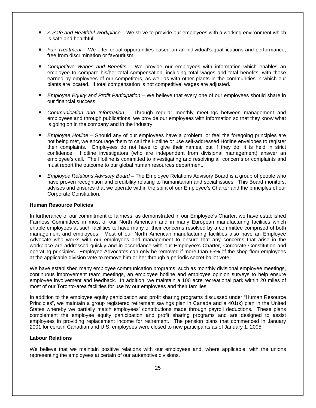- *A Safe and Healthful Workplace –* We strive to provide our employees with a working environment which is safe and healthful.
- *Fair Treatment –* We offer equal opportunities based on an individual's qualifications and performance, free from discrimination or favouritism.
- Competitive Wages and Benefits We provide our employees with information which enables an employee to compare his/her total compensation, including total wages and total benefits, with those earned by employees of our competitors, as well as with other plants in the communities in which our plants are located. If total compensation is not competitive, wages are adjusted.
- *Employee Equity and Profit Participation –* We believe that every one of our employees should share in our financial success.
- *Communication and Information –* Through regular monthly meetings between management and employees and through publications, we provide our employees with information so that they know what is going on in the company and in the industry.
- *Employee Hotline –* Should any of our employees have a problem, or feel the foregoing principles are not being met, we encourage them to call the Hotline or use self-addressed Hotline envelopes to register their complaints. Employees do not have to give their names, but if they do, it is held in strict confidence. Hotline investigators (who are independent from divisional management) answer an employee's call. The Hotline is committed to investigating and resolving all concerns or complaints and must report the outcome to our global human resources department.
- *Employee Relations Advisory Board –* The Employee Relations Advisory Board is a group of people who have proven recognition and credibility relating to humanitarian and social issues. This Board monitors, advises and ensures that we operate within the spirit of our Employee's Charter and the principles of our Corporate Constitution.

### **Human Resource Policies**

In furtherance of our commitment to fairness, as demonstrated in our Employee's Charter, we have established Fairness Committees in most of our North American and in many European manufacturing facilities which enable employees at such facilities to have many of their concerns resolved by a committee comprised of both management and employees. Most of our North American manufacturing facilities also have an Employee Advocate who works with our employees and management to ensure that any concerns that arise in the workplace are addressed quickly and in accordance with our Employee's Charter, Corporate Constitution and operating principles. Employee Advocates can only be removed if more than 65% of the shop floor employees at the applicable division vote to remove him or her through a periodic secret ballot vote.

We have established many employee communication programs, such as monthly divisional employee meetings, continuous improvement team meetings, an employee hotline and employee opinion surveys to help ensure employee involvement and feedback. In addition, we maintain a 100 acre recreational park within 20 miles of most of our Toronto-area facilities for use by our employees and their families.

In addition to the employee equity participation and profit sharing programs discussed under "Human Resource Principles", we maintain a group registered retirement savings plan in Canada and a 401(k) plan in the United States whereby we partially match employees' contributions made through payroll deductions. These plans complement the employee equity participation and profit sharing programs and are designed to assist employees in providing replacement income for retirement. The pension plans that commenced in January 2001 for certain Canadian and U.S. employees were closed to new participants as of January 1, 2005.

# **Labour Relations**

We believe that we maintain positive relations with our employees and, where applicable, with the unions representing the employees at certain of our automotive divisions.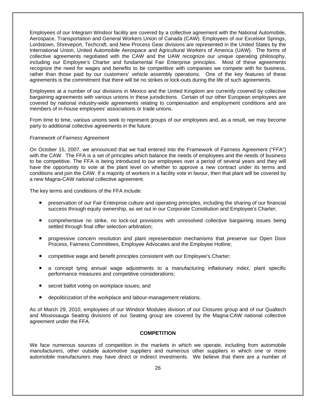Employees of our Integram Windsor facility are covered by a collective agreement with the National Automobile, Aerospace, Transportation and General Workers Union of Canada (CAW). Employees of our Excelsior Springs, Lordstown, Shreveport, Techcraft, and New Process Gear divisions are represented in the United States by the International Union, United Automobile Aerospace and Agricultural Workers of America (UAW). The forms of collective agreements negotiated with the CAW and the UAW recognize our unique operating philosophy, including our Employee's Charter and fundamental Fair Enterprise principles. Most of these agreements recognize the need for wages and benefits to be competitive with companies we compete with for business, rather than those paid by our customers' vehicle assembly operations. One of the key features of these agreements is the commitment that there will be no strikes or lock-outs during the life of such agreements.

Employees at a number of our divisions in Mexico and the United Kingdom are currently covered by collective bargaining agreements with various unions in these jurisdictions. Certain of our other European employees are covered by national industry-wide agreements relating to compensation and employment conditions and are members of in-house employees' associations or trade unions.

From time to time, various unions seek to represent groups of our employees and, as a result, we may become party to additional collective agreements in the future.

### *Framework of Fairness Agreement*

On October 15, 2007, we announced that we had entered into the Framework of Fairness Agreement ("FFA") with the CAW. The FFA is a set of principles which balance the needs of employees and the needs of business to be competitive. The FFA is being introduced to our employees over a period of several years and they will have the opportunity to vote at the plant level on whether to approve a new contract under its terms and conditions and join the CAW. If a majority of workers in a facility vote in favour, then that plant will be covered by a new Magna-CAW national collective agreement.

The key terms and conditions of the FFA include:

- **PEDITE:** preservation of our Fair Enterprise culture and operating principles, including the sharing of our financial success through equity ownership, as set out in our Corporate Constitution and Employee's Charter;
- comprehensive no strike, no lock-out provisions with unresolved collective bargaining issues being settled through final offer selection arbitration;
- **Perogressive concern resolution and plant representation mechanisms that preserve our Open Door** Process, Fairness Committees, Employee Advocates and the Employee Hotline;
- competitive wage and benefit principles consistent with our Employee's Charter;
- a concept tying annual wage adjustments to a manufacturing inflationary index, plant specific performance measures and competitive considerations;
- secret ballot voting on workplace issues; and
- **e** depoliticization of the workplace and labour-management relations.

As of March 29, 2010, employees of our Windsor Modules division of our Closures group and of our Qualtech and Mississauga Seating divisions of our Seating group are covered by the Magna-CAW national collective agreement under the FFA.

# **COMPETITION**

We face numerous sources of competition in the markets in which we operate, including from automobile manufacturers, other outside automotive suppliers and numerous other suppliers in which one or more automobile manufacturers may have direct or indirect investments. We believe that there are a number of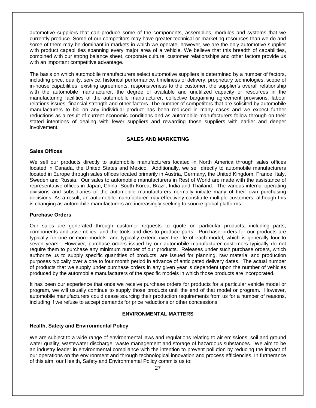automotive suppliers that can produce some of the components, assemblies, modules and systems that we currently produce. Some of our competitors may have greater technical or marketing resources than we do and some of them may be dominant in markets in which we operate, however, we are the only automotive supplier with product capabilities spanning every major area of a vehicle. We believe that this breadth of capabilities, combined with our strong balance sheet, corporate culture, customer relationships and other factors provide us with an important competitive advantage.

The basis on which automobile manufacturers select automotive suppliers is determined by a number of factors, including price, quality, service, historical performance, timeliness of delivery, proprietary technologies, scope of in-house capabilities, existing agreements, responsiveness to the customer, the supplier's overall relationship with the automobile manufacturer, the degree of available and unutilized capacity or resources in the manufacturing facilities of the automobile manufacturer, collective bargaining agreement provisions, labour relations issues, financial strength and other factors. The number of competitors that are solicited by automobile manufacturers to bid on any individual product has been reduced in many cases and we expect further reductions as a result of current economic conditions and as automobile manufacturers follow through on their stated intentions of dealing with fewer suppliers and rewarding those suppliers with earlier and deeper involvement.

# **SALES AND MARKETING**

### **Sales Offices**

We sell our products directly to automobile manufacturers located in North America through sales offices located in Canada, the United States and Mexico. Additionally, we sell directly to automobile manufacturers located in Europe through sales offices located primarily in Austria, Germany, the United Kingdom, France, Italy, Sweden and Russia. Our sales to automobile manufacturers in Rest of World are made with the assistance of representative offices in Japan, China, South Korea, Brazil, India and Thailand. The various internal operating divisions and subsidiaries of the automobile manufacturers normally initiate many of their own purchasing decisions. As a result, an automobile manufacturer may effectively constitute multiple customers, although this is changing as automobile manufacturers are increasingly seeking to source global platforms.

### **Purchase Orders**

Our sales are generated through customer requests to quote on particular products, including parts, components and assemblies, and the tools and dies to produce parts. Purchase orders for our products are typically for one or more models, and typically extend over the life of each model, which is generally four to seven years. However, purchase orders issued by our automobile manufacturer customers typically do not require them to purchase any minimum number of our products. Releases under such purchase orders, which authorize us to supply specific quantities of products, are issued for planning, raw material and production purposes typically over a one to four month period in advance of anticipated delivery dates. The actual number of products that we supply under purchase orders in any given year is dependent upon the number of vehicles produced by the automobile manufacturers of the specific models in which those products are incorporated.

It has been our experience that once we receive purchase orders for products for a particular vehicle model or program, we will usually continue to supply those products until the end of that model or program. However, automobile manufacturers could cease sourcing their production requirements from us for a number of reasons, including if we refuse to accept demands for price reductions or other concessions.

# **ENVIRONMENTAL MATTERS**

# **Health, Safety and Environmental Policy**

We are subject to a wide range of environmental laws and regulations relating to air emissions, soil and ground water quality, wastewater discharge, waste management and storage of hazardous substances. We aim to be an industry leader in environmental compliance with the intention to prevent pollution by reducing the impact of our operations on the environment and through technological innovation and process efficiencies. In furtherance of this aim, our Health, Safety and Environmental Policy commits us to: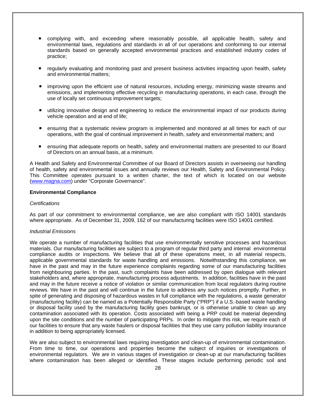- complying with, and exceeding where reasonably possible, all applicable health, safety and environmental laws, regulations and standards in all of our operations and conforming to our internal standards based on generally accepted environmental practices and established industry codes of practice;
- **F** regularly evaluating and monitoring past and present business activities impacting upon health, safety and environmental matters;
- improving upon the efficient use of natural resources, including energy, minimizing waste streams and emissions, and implementing effective recycling in manufacturing operations, in each case, through the use of locally set continuous improvement targets;
- utilizing innovative design and engineering to reduce the environmental impact of our products during vehicle operation and at end of life;
- ensuring that a systematic review program is implemented and monitored at all times for each of our operations, with the goal of continual improvement in health, safety and environmental matters; and
- ensuring that adequate reports on health, safety and environmental matters are presented to our Board of Directors on an annual basis, at a minimum.

A Health and Safety and Environmental Committee of our Board of Directors assists in overseeing our handling of health, safety and environmental issues and annually reviews our Health, Safety and Environmental Policy. This Committee operates pursuant to a written charter, the text of which is located on our website (www.magna.com) under "Corporate Governance".

### **Environmental Compliance**

### *Certifications*

As part of our commitment to environmental compliance, we are also compliant with ISO 14001 standards where appropriate. As of December 31, 2009, 162 of our manufacturing facilities were ISO 14001 certified.

### *Industrial Emissions*

We operate a number of manufacturing facilities that use environmentally sensitive processes and hazardous materials. Our manufacturing facilities are subject to a program of regular third party and internal environmental compliance audits or inspections. We believe that all of these operations meet, in all material respects, applicable governmental standards for waste handling and emissions. Notwithstanding this compliance, we have in the past and may in the future experience complaints regarding some of our manufacturing facilities from neighbouring parties. In the past, such complaints have been addressed by open dialogue with relevant stakeholders and, where appropriate, manufacturing process adjustments. In addition, facilities have in the past and may in the future receive a notice of violation or similar communication from local regulators during routine reviews. We have in the past and will continue in the future to address any such notices promptly. Further, in spite of generating and disposing of hazardous wastes in full compliance with the regulations, a waste generator (manufacturing facility) can be named as a Potentially Responsible Party ("PRP") if a U.S.-based waste handling or disposal facility used by the manufacturing facility goes bankrupt, or is otherwise unable to clean up any contamination associated with its operation. Costs associated with being a PRP could be material depending upon the site conditions and the number of participating PRPs. In order to mitigate this risk, we require each of our facilities to ensure that any waste haulers or disposal facilities that they use carry pollution liability insurance in addition to being appropriately licensed.

We are also subject to environmental laws requiring investigation and clean-up of environmental contamination. From time to time, our operations and properties become the subject of inquiries or investigations of environmental regulators. We are in various stages of investigation or clean-up at our manufacturing facilities where contamination has been alleged or identified. These stages include performing periodic soil and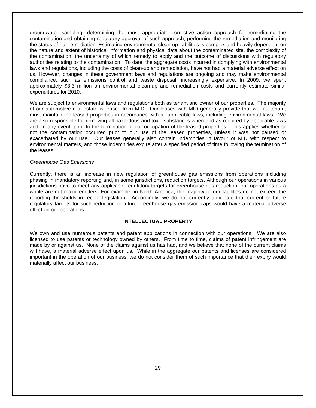groundwater sampling, determining the most appropriate corrective action approach for remediating the contamination and obtaining regulatory approval of such approach, performing the remediation and monitoring the status of our remediation. Estimating environmental clean-up liabilities is complex and heavily dependent on the nature and extent of historical information and physical data about the contaminated site, the complexity of the contamination, the uncertainty of which remedy to apply and the outcome of discussions with regulatory authorities relating to the contamination. To date, the aggregate costs incurred in complying with environmental laws and regulations, including the costs of clean-up and remediation, have not had a material adverse effect on us. However, changes in these government laws and regulations are ongoing and may make environmental compliance, such as emissions control and waste disposal, increasingly expensive. In 2009, we spent approximately \$3.3 million on environmental clean-up and remediation costs and currently estimate similar expenditures for 2010.

We are subject to environmental laws and regulations both as tenant and owner of our properties. The majority of our automotive real estate is leased from MID. Our leases with MID generally provide that we, as tenant, must maintain the leased properties in accordance with all applicable laws, including environmental laws. We are also responsible for removing all hazardous and toxic substances when and as required by applicable laws and, in any event, prior to the termination of our occupation of the leased properties. This applies whether or not the contamination occurred prior to our use of the leased properties, unless it was not caused or exacerbated by our use. Our leases generally also contain indemnities in favour of MID with respect to environmental matters, and those indemnities expire after a specified period of time following the termination of the leases.

### *Greenhouse Gas Emissions*

Currently, there is an increase in new regulation of greenhouse gas emissions from operations including phasing in mandatory reporting and, in some jurisdictions, reduction targets. Although our operations in various jurisdictions have to meet any applicable regulatory targets for greenhouse gas reduction, our operations as a whole are not major emitters. For example, in North America, the majority of our facilities do not exceed the reporting thresholds in recent legislation. Accordingly, we do not currently anticipate that current or future regulatory targets for such reduction or future greenhouse gas emission caps would have a material adverse effect on our operations.

# **INTELLECTUAL PROPERTY**

We own and use numerous patents and patent applications in connection with our operations. We are also licensed to use patents or technology owned by others. From time to time, claims of patent infringement are made by or against us. None of the claims against us has had, and we believe that none of the current claims will have, a material adverse effect upon us. While in the aggregate our patents and licenses are considered important in the operation of our business, we do not consider them of such importance that their expiry would materially affect our business.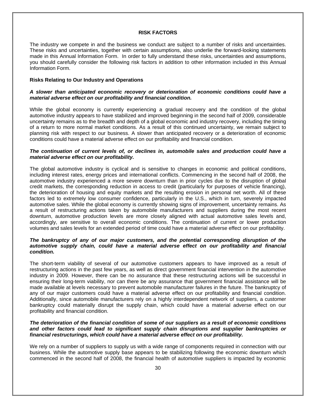### **RISK FACTORS**

The industry we compete in and the business we conduct are subject to a number of risks and uncertainties. These risks and uncertainties, together with certain assumptions, also underlie the forward-looking statements made in this Annual Information Form. In order to fully understand these risks, uncertainties and assumptions, you should carefully consider the following risk factors in addition to other information included in this Annual Information Form.

### **Risks Relating to Our Industry and Operations**

# *A slower than anticipated economic recovery or deterioration of economic conditions could have a material adverse effect on our profitability and financial condition.*

While the global economy is currently experiencing a gradual recovery and the condition of the global automotive industry appears to have stabilized and improved beginning in the second half of 2009, considerable uncertainty remains as to the breadth and depth of a global economic and industry recovery, including the timing of a return to more normal market conditions. As a result of this continued uncertainty, we remain subject to planning risk with respect to our business. A slower than anticipated recovery or a deterioration of economic conditions could have a material adverse effect on our profitability and financial condition.

# *The continuation of current levels of, or declines in, automobile sales and production could have a material adverse effect on our profitability.*

The global automotive industry is cyclical and is sensitive to changes in economic and political conditions, including interest rates, energy prices and international conflicts. Commencing in the second half of 2008, the automotive industry experienced a more severe downturn than in prior cycles due to the disruption of global credit markets, the corresponding reduction in access to credit (particularly for purposes of vehicle financing), the deterioration of housing and equity markets and the resulting erosion in personal net worth. All of these factors led to extremely low consumer confidence, particularly in the U.S., which in turn, severely impacted automotive sales. While the global economy is currently showing signs of improvement, uncertainty remains. As a result of restructuring actions taken by automobile manufacturers and suppliers during the most recent downturn, automotive production levels are more closely aligned with actual automotive sales levels and, accordingly, are sensitive to overall economic conditions. The continuation of current or lower production volumes and sales levels for an extended period of time could have a material adverse effect on our profitability.

# *The bankruptcy of any of our major customers, and the potential corresponding disruption of the automotive supply chain, could have a material adverse effect on our profitability and financial condition.*

The short-term viability of several of our automotive customers appears to have improved as a result of restructuring actions in the past few years, as well as direct government financial intervention in the automotive industry in 2009. However, there can be no assurance that these restructuring actions will be successful in ensuring their long-term viability, nor can there be any assurance that government financial assistance will be made available at levels necessary to prevent automobile manufacturer failures in the future. The bankruptcy of any of our major customers could have a material adverse effect on our profitability and financial condition. Additionally, since automobile manufacturers rely on a highly interdependent network of suppliers, a customer bankruptcy could materially disrupt the supply chain, which could have a material adverse effect on our profitability and financial condition.

### *The deterioration of the financial condition of some of our suppliers as a result of economic conditions and other factors could lead to significant supply chain disruptions and supplier bankruptcies or financial restructurings, which could have a material adverse effect on our profitability.*

We rely on a number of suppliers to supply us with a wide range of components required in connection with our business. While the automotive supply base appears to be stabilizing following the economic downturn which commenced in the second half of 2008, the financial health of automotive suppliers is impacted by economic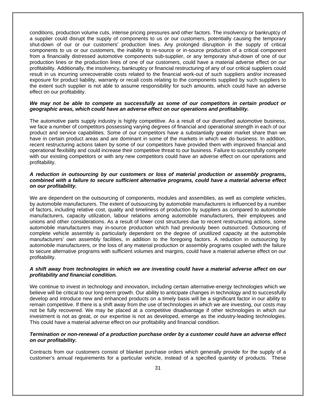conditions, production volume cuts, intense pricing pressures and other factors. The insolvency or bankruptcy of a supplier could disrupt the supply of components to us or our customers, potentially causing the temporary shut-down of our or our customers' production lines. Any prolonged disruption in the supply of critical components to us or our customers, the inability to re-source or in-source production of a critical component from a financially distressed automotive components sub-supplier, or any temporary shut-down of one of our production lines or the production lines of one of our customers, could have a material adverse effect on our profitability. Additionally, the insolvency, bankruptcy or financial restructuring of any of our critical suppliers could result in us incurring unrecoverable costs related to the financial work-out of such suppliers and/or increased exposure for product liability, warranty or recall costs relating to the components supplied by such suppliers to the extent such supplier is not able to assume responsibility for such amounts, which could have an adverse effect on our profitability.

### *We may not be able to compete as successfully as some of our competitors in certain product or geographic areas, which could have an adverse effect on our operations and profitability.*

The automotive parts supply industry is highly competitive. As a result of our diversified automotive business, we face a number of competitors possessing varying degrees of financial and operational strength in each of our product and service capabilities. Some of our competitors have a substantially greater market share than we have in certain product areas and are dominant in some of the markets in which we do business. In addition, recent restructuring actions taken by some of our competitors have provided them with improved financial and operational flexibility and could increase their competitive threat to our business. Failure to successfully compete with our existing competitors or with any new competitors could have an adverse effect on our operations and profitability.

# *A reduction in outsourcing by our customers or loss of material production or assembly programs, combined with a failure to secure sufficient alternative programs, could have a material adverse effect on our profitability.*

We are dependent on the outsourcing of components, modules and assemblies, as well as complete vehicles, by automobile manufacturers. The extent of outsourcing by automobile manufacturers is influenced by a number of factors, including relative cost, quality and timeliness of production by suppliers as compared to automobile manufacturers, capacity utilization, labour relations among automobile manufacturers, their employees and unions and other considerations. As a result of lower cost structures due to recent restructuring actions, some automobile manufacturers may in-source production which had previously been outsourced. Outsourcing of complete vehicle assembly is particularly dependent on the degree of unutilized capacity at the automobile manufacturers' own assembly facilities, in addition to the foregoing factors. A reduction in outsourcing by automobile manufacturers, or the loss of any material production or assembly programs coupled with the failure to secure alternative programs with sufficient volumes and margins, could have a material adverse effect on our profitability.

# *A shift away from technologies in which we are investing could have a material adverse affect on our profitability and financial condition.*

We continue to invest in technology and innovation, including certain alternative-energy technologies which we believe will be critical to our long-term growth. Our ability to anticipate changes in technology and to successfully develop and introduce new and enhanced products on a timely basis will be a significant factor in our ability to remain competitive. If there is a shift away from the use of technologies in which we are investing, our costs may not be fully recovered. We may be placed at a competitive disadvantage if other technologies in which our investment is not as great, or our expertise is not as developed, emerge as the industry-leading technologies. This could have a material adverse effect on our profitability and financial condition.

# *Termination or non-renewal of a production purchase order by a customer could have an adverse effect on our profitability.*

Contracts from our customers consist of blanket purchase orders which generally provide for the supply of a customer's annual requirements for a particular vehicle, instead of a specified quantity of products. These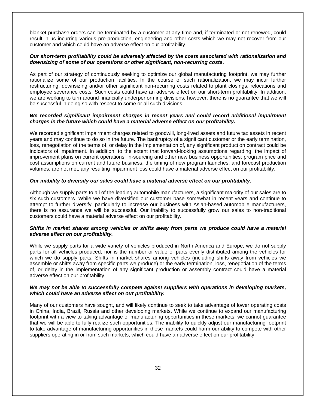blanket purchase orders can be terminated by a customer at any time and, if terminated or not renewed, could result in us incurring various pre-production, engineering and other costs which we may not recover from our customer and which could have an adverse effect on our profitability.

# *Our short-term profitability could be adversely affected by the costs associated with rationalization and downsizing of some of our operations or other significant, non-recurring costs.*

As part of our strategy of continuously seeking to optimize our global manufacturing footprint, we may further rationalize some of our production facilities. In the course of such rationalization, we may incur further restructuring, downsizing and/or other significant non-recurring costs related to plant closings, relocations and employee severance costs. Such costs could have an adverse effect on our short-term profitability. In addition, we are working to turn around financially underperforming divisions; however, there is no guarantee that we will be successful in doing so with respect to some or all such divisions.

### *We recorded significant impairment charges in recent years and could record additional impairment charges in the future which could have a material adverse effect on our profitability.*

We recorded significant impairment charges related to goodwill, long-lived assets and future tax assets in recent years and may continue to do so in the future. The bankruptcy of a significant customer or the early termination, loss, renegotiation of the terms of, or delay in the implementation of, any significant production contract could be indicators of impairment. In addition, to the extent that forward-looking assumptions regarding: the impact of improvement plans on current operations; in-sourcing and other new business opportunities; program price and cost assumptions on current and future business; the timing of new program launches; and forecast production volumes; are not met, any resulting impairment loss could have a material adverse effect on our profitability.

### *Our inability to diversify our sales could have a material adverse effect on our profitability.*

Although we supply parts to all of the leading automobile manufacturers, a significant majority of our sales are to six such customers. While we have diversified our customer base somewhat in recent years and continue to attempt to further diversify, particularly to increase our business with Asian-based automobile manufacturers, there is no assurance we will be successful. Our inability to successfully grow our sales to non-traditional customers could have a material adverse effect on our profitability.

# *Shifts in market shares among vehicles or shifts away from parts we produce could have a material adverse effect on our profitability.*

While we supply parts for a wide variety of vehicles produced in North America and Europe, we do not supply parts for all vehicles produced, nor is the number or value of parts evenly distributed among the vehicles for which we do supply parts. Shifts in market shares among vehicles (including shifts away from vehicles we assemble or shifts away from specific parts we produce) or the early termination, loss, renegotiation of the terms of, or delay in the implementation of any significant production or assembly contract could have a material adverse effect on our profitability.

### *We may not be able to successfully compete against suppliers with operations in developing markets, which could have an adverse effect on our profitability.*

Many of our customers have sought, and will likely continue to seek to take advantage of lower operating costs in China, India, Brazil, Russia and other developing markets. While we continue to expand our manufacturing footprint with a view to taking advantage of manufacturing opportunities in these markets, we cannot guarantee that we will be able to fully realize such opportunities. The inability to quickly adjust our manufacturing footprint to take advantage of manufacturing opportunities in these markets could harm our ability to compete with other suppliers operating in or from such markets, which could have an adverse effect on our profitability.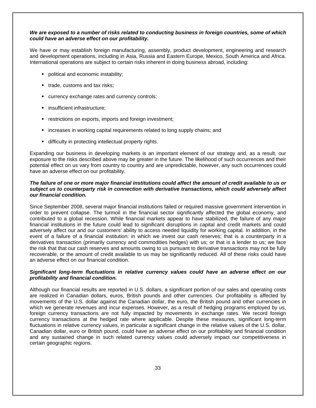# *We are exposed to a number of risks related to conducting business in foreign countries, some of which could have an adverse effect on our profitability.*

We have or may establish foreign manufacturing, assembly, product development, engineering and research and development operations, including in Asia, Russia and Eastern Europe, Mexico, South America and Africa. International operations are subject to certain risks inherent in doing business abroad, including:

- **•** political and economic instability;
- **trade, customs and tax risks;**
- **currency exchange rates and currency controls;**
- **insufficient infrastructure;**
- **Figure 1** restrictions on exports, imports and foreign investment;
- increases in working capital requirements related to long supply chains; and
- **difficulty in protecting intellectual property rights.**

Expanding our business in developing markets is an important element of our strategy and, as a result, our exposure to the risks described above may be greater in the future. The likelihood of such occurrences and their potential effect on us vary from country to country and are unpredictable, however, any such occurrences could have an adverse effect on our profitability.

# *The failure of one or more major financial institutions could affect the amount of credit available to us or subject us to counterparty risk in connection with derivative transactions, which could adversely affect our financial condition.*

Since September 2008, several major financial institutions failed or required massive government intervention in order to prevent collapse. The turmoil in the financial sector significantly affected the global economy, and contributed to a global recession. While financial markets appear to have stabilized, the failure of any major financial institutions in the future could lead to significant disruptions in capital and credit markets and could adversely affect our and our customers' ability to access needed liquidity for working capital. In addition, in the event of a failure of a financial institution: in which we invest our cash reserves; that is a counterparty in a derivatives transaction (primarily currency and commodities hedges) with us; or that is a lender to us; we face the risk that that our cash reserves and amounts owing to us pursuant to derivative transactions may not be fully recoverable, or the amount of credit available to us may be significantly reduced. All of these risks could have an adverse effect on our financial condition.

# *Significant long-term fluctuations in relative currency values could have an adverse effect on our profitability and financial condition.*

Although our financial results are reported in U.S. dollars, a significant portion of our sales and operating costs are realized in Canadian dollars, euros, British pounds and other currencies. Our profitability is affected by movements of the U.S. dollar against the Canadian dollar, the euro, the British pound and other currencies in which we generate revenues and incur expenses. However, as a result of hedging programs employed by us, foreign currency transactions are not fully impacted by movements in exchange rates. We record foreign currency transactions at the hedged rate where applicable. Despite these measures, significant long-term fluctuations in relative currency values, in particular a significant change in the relative values of the U.S. dollar, Canadian dollar, euro or British pound, could have an adverse effect on our profitability and financial condition and any sustained change in such related currency values could adversely impact our competitiveness in certain geographic regions.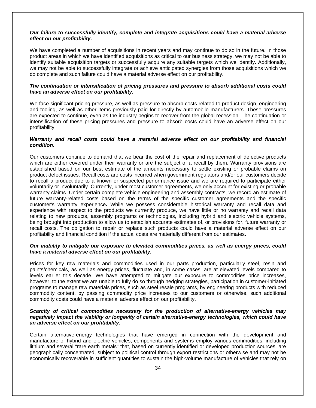# *Our failure to successfully identify, complete and integrate acquisitions could have a material adverse effect on our profitability.*

We have completed a number of acquisitions in recent years and may continue to do so in the future. In those product areas in which we have identified acquisitions as critical to our business strategy, we may not be able to identify suitable acquisition targets or successfully acquire any suitable targets which we identify. Additionally, we may not be able to successfully integrate or achieve anticipated synergies from those acquisitions which we do complete and such failure could have a material adverse effect on our profitability.

# *The continuation or intensification of pricing pressures and pressure to absorb additional costs could have an adverse effect on our profitability.*

We face significant pricing pressure, as well as pressure to absorb costs related to product design, engineering and tooling, as well as other items previously paid for directly by automobile manufacturers. These pressures are expected to continue, even as the industry begins to recover from the global recession. The continuation or intensification of these pricing pressures and pressure to absorb costs could have an adverse effect on our profitability.

# *Warranty and recall costs could have a material adverse effect on our profitability and financial condition.*

Our customers continue to demand that we bear the cost of the repair and replacement of defective products which are either covered under their warranty or are the subject of a recall by them. Warranty provisions are established based on our best estimate of the amounts necessary to settle existing or probable claims on product defect issues. Recall costs are costs incurred when government regulators and/or our customers decide to recall a product due to a known or suspected performance issue and we are required to participate either voluntarily or involuntarily. Currently, under most customer agreements, we only account for existing or probable warranty claims. Under certain complete vehicle engineering and assembly contracts, we record an estimate of future warranty-related costs based on the terms of the specific customer agreements and the specific customer's warranty experience**.** While we possess considerable historical warranty and recall data and experience with respect to the products we currently produce, we have little or no warranty and recall data relating to new products, assembly programs or technologies, including hybrid and electric vehicle systems, being brought into production to allow us to establish accurate estimates of, or provisions for, future warranty or recall costs. The obligation to repair or replace such products could have a material adverse effect on our profitability and financial condition if the actual costs are materially different from our estimates.

# *Our inability to mitigate our exposure to elevated commodities prices, as well as energy prices, could have a material adverse effect on our profitability.*

Prices for key raw materials and commodities used in our parts production, particularly steel, resin and paints/chemicals, as well as energy prices, fluctuate and, in some cases, are at elevated levels compared to levels earlier this decade. We have attempted to mitigate our exposure to commodities price increases, however, to the extent we are unable to fully do so through hedging strategies, participation in customer-initiated programs to manage raw materials prices, such as steel resale programs, by engineering products with reduced commodity content, by passing commodity price increases to our customers or otherwise, such additional commodity costs could have a material adverse effect on our profitability.

# *Scarcity of critical commodities necessary for the production of alternative-energy vehicles may negatively impact the viability or longevity of certain alternative-energy technologies, which could have an adverse effect on our profitability.*

Certain alternative-energy technologies that have emerged in connection with the development and manufacture of hybrid and electric vehicles, components and systems employ various commodities, including lithium and several "rare earth metals" that, based on currently identified or developed production sources, are geographically concentrated, subject to political control through export restrictions or otherwise and may not be economically recoverable in sufficient quantities to sustain the high-volume manufacture of vehicles that rely on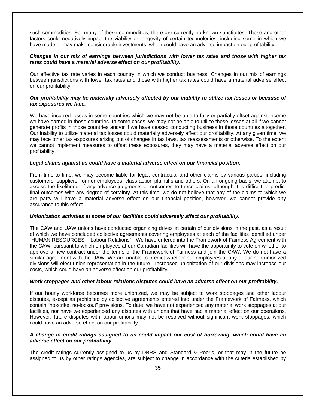such commodities. For many of these commodities, there are currently no known substitutes. These and other factors could negatively impact the viability or longevity of certain technologies, including some in which we have made or may make considerable investments, which could have an adverse impact on our profitability.

# *Changes in our mix of earnings between jurisdictions with lower tax rates and those with higher tax rates could have a material adverse effect on our profitability.*

Our effective tax rate varies in each country in which we conduct business. Changes in our mix of earnings between jurisdictions with lower tax rates and those with higher tax rates could have a material adverse effect on our profitability.

# *Our profitability may be materially adversely affected by our inability to utilize tax losses or because of tax exposures we face.*

We have incurred losses in some countries which we may not be able to fully or partially offset against income we have earned in those countries. In some cases, we may not be able to utilize these losses at all if we cannot generate profits in those countries and/or if we have ceased conducting business in those countries altogether. Our inability to utilize material tax losses could materially adversely affect our profitability. At any given time, we may face other tax exposures arising out of changes in tax laws, tax reassessments or otherwise. To the extent we cannot implement measures to offset these exposures, they may have a material adverse effect on our profitability.

# *Legal claims against us could have a material adverse effect on our financial position.*

From time to time, we may become liable for legal, contractual and other claims by various parties, including customers, suppliers, former employees, class action plaintiffs and others. On an ongoing basis, we attempt to assess the likelihood of any adverse judgments or outcomes to these claims, although it is difficult to predict final outcomes with any degree of certainty. At this time, we do not believe that any of the claims to which we are party will have a material adverse effect on our financial position, however, we cannot provide any assurance to this effect.

### *Unionization activities at some of our facilities could adversely affect our profitability.*

The CAW and UAW unions have conducted organizing drives at certain of our divisions in the past, as a result of which we have concluded collective agreements covering employees at each of the facilities identified under "HUMAN RESOURCES – Labour Relations". We have entered into the Framework of Fairness Agreement with the CAW, pursuant to which employees at our Canadian facilities will have the opportunity to vote on whether to approve a new contract under the terms of the Framework of Fairness and join the CAW. We do not have a similar agreement with the UAW. We are unable to predict whether our employees at any of our non-unionized divisions will elect union representation in the future. Increased unionization of our divisions may increase our costs, which could have an adverse effect on our profitability.

### *Work stoppages and other labour relations disputes could have an adverse effect on our profitability.*

If our hourly workforce becomes more unionized, we may be subject to work stoppages and other labour disputes, except as prohibited by collective agreements entered into under the Framework of Fairness, which contain "no-strike, no-lockout" provisions. To date, we have not experienced any material work stoppages at our facilities, nor have we experienced any disputes with unions that have had a material effect on our operations. However, future disputes with labour unions may not be resolved without significant work stoppages, which could have an adverse effect on our profitability.

# *A change in credit ratings assigned to us could impact our cost of borrowing, which could have an adverse effect on our profitability.*

The credit ratings currently assigned to us by DBRS and Standard & Poor's, or that may in the future be assigned to us by other ratings agencies, are subject to change in accordance with the criteria established by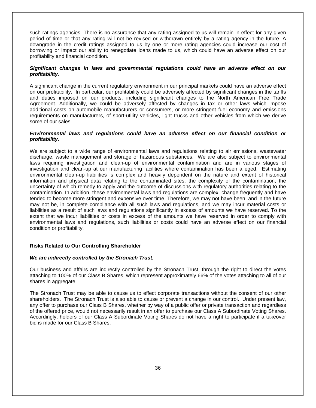such ratings agencies. There is no assurance that any rating assigned to us will remain in effect for any given period of time or that any rating will not be revised or withdrawn entirely by a rating agency in the future. A downgrade in the credit ratings assigned to us by one or more rating agencies could increase our cost of borrowing or impact our ability to renegotiate loans made to us, which could have an adverse effect on our profitability and financial condition.

# *Significant changes in laws and governmental regulations could have an adverse effect on our profitability.*

A significant change in the current regulatory environment in our principal markets could have an adverse effect on our profitability. In particular, our profitability could be adversely affected by significant changes in the tariffs and duties imposed on our products, including significant changes to the North American Free Trade Agreement. Additionally, we could be adversely affected by changes in tax or other laws which impose additional costs on automobile manufacturers or consumers, or more stringent fuel economy and emissions requirements on manufacturers, of sport-utility vehicles, light trucks and other vehicles from which we derive some of our sales.

# *Environmental laws and regulations could have an adverse effect on our financial condition or profitability.*

We are subject to a wide range of environmental laws and regulations relating to air emissions, wastewater discharge, waste management and storage of hazardous substances. We are also subject to environmental laws requiring investigation and clean-up of environmental contamination and are in various stages of investigation and clean-up at our manufacturing facilities where contamination has been alleged. Estimating environmental clean-up liabilities is complex and heavily dependent on the nature and extent of historical information and physical data relating to the contaminated sites, the complexity of the contamination, the uncertainty of which remedy to apply and the outcome of discussions with regulatory authorities relating to the contamination. In addition, these environmental laws and regulations are complex, change frequently and have tended to become more stringent and expensive over time. Therefore, we may not have been, and in the future may not be, in complete compliance with all such laws and regulations, and we may incur material costs or liabilities as a result of such laws and regulations significantly in excess of amounts we have reserved. To the extent that we incur liabilities or costs in excess of the amounts we have reserved in order to comply with environmental laws and regulations, such liabilities or costs could have an adverse effect on our financial condition or profitability.

# **Risks Related to Our Controlling Shareholder**

# *We are indirectly controlled by the Stronach Trust.*

Our business and affairs are indirectly controlled by the Stronach Trust, through the right to direct the votes attaching to 100% of our Class B Shares, which represent approximately 66% of the votes attaching to all of our shares in aggregate.

The Stronach Trust may be able to cause us to effect corporate transactions without the consent of our other shareholders. The Stronach Trust is also able to cause or prevent a change in our control. Under present law, any offer to purchase our Class B Shares, whether by way of a public offer or private transaction and regardless of the offered price, would not necessarily result in an offer to purchase our Class A Subordinate Voting Shares. Accordingly, holders of our Class A Subordinate Voting Shares do not have a right to participate if a takeover bid is made for our Class B Shares.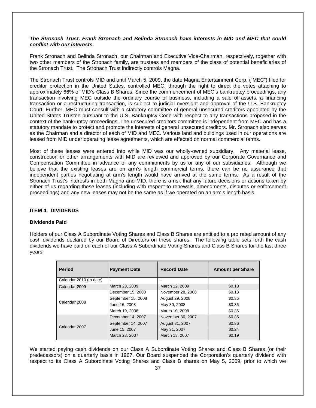# *The Stronach Trust, Frank Stronach and Belinda Stronach have interests in MID and MEC that could conflict with our interests.*

Frank Stronach and Belinda Stronach, our Chairman and Executive Vice-Chairman, respectively, together with two other members of the Stronach family, are trustees and members of the class of potential beneficiaries of the Stronach Trust. The Stronach Trust indirectly controls Magna.

The Stronach Trust controls MID and until March 5, 2009, the date Magna Entertainment Corp. ("MEC") filed for creditor protection in the United States, controlled MEC, through the right to direct the votes attaching to approximately 66% of MID's Class B Shares. Since the commencement of MEC's bankruptcy proceedings, any transaction involving MEC outside the ordinary course of business, including a sale of assets, a financing transaction or a restructuring transaction, is subject to judicial oversight and approval of the U.S. Bankruptcy Court. Further, MEC must consult with a statutory committee of general unsecured creditors appointed by the United States Trustee pursuant to the U.S. Bankruptcy Code with respect to any transactions proposed in the context of the bankruptcy proceedings. The unsecured creditors committee is independent from MEC and has a statutory mandate to protect and promote the interests of general unsecured creditors. Mr. Stronach also serves as the Chairman and a director of each of MID and MEC. Various land and buildings used in our operations are leased from MID under operating lease agreements, which are effected on normal commercial terms.

Most of these leases were entered into while MID was our wholly-owned subsidiary. Any material lease, construction or other arrangements with MID are reviewed and approved by our Corporate Governance and Compensation Committee in advance of any commitments by us or any of our subsidiaries. Although we believe that the existing leases are on arm's length commercial terms, there can be no assurance that independent parties negotiating at arm's length would have arrived at the same terms. As a result of the Stronach Trust's interests in both Magna and MID, there is a risk that any future decisions or actions taken by either of us regarding these leases (including with respect to renewals, amendments, disputes or enforcement proceedings) and any new leases may not be the same as if we operated on an arm's length basis.

# **ITEM 4. DIVIDENDS**

# **Dividends Paid**

Holders of our Class A Subordinate Voting Shares and Class B Shares are entitled to a pro rated amount of any cash dividends declared by our Board of Directors on these shares. The following table sets forth the cash dividends we have paid on each of our Class A Subordinate Voting Shares and Class B Shares for the last three years:

| <b>Period</b>           | <b>Payment Date</b> | <b>Record Date</b> | <b>Amount per Share</b> |
|-------------------------|---------------------|--------------------|-------------------------|
| Calendar 2010 (to date) |                     |                    |                         |
| Calendar 2009           | March 23, 2009      | March 12, 2009     | \$0.18                  |
|                         | December 15, 2008   | November 28, 2008  | \$0.18                  |
|                         | September 15, 2008  | August 29, 2008    | \$0.36                  |
| Calendar 2008           | June 16, 2008       | May 30, 2008       | \$0.36                  |
|                         | March 19, 2008      | March 10, 2008     | \$0.36                  |
|                         | December 14, 2007   | November 30, 2007  | \$0.36                  |
|                         | September 14, 2007  | August 31, 2007    | \$0.36                  |
| Calendar 2007           | June 15, 2007       | May 31, 2007       | \$0.24                  |
|                         | March 23, 2007      | March 13, 2007     | \$0.19                  |

We started paying cash dividends on our Class A Subordinate Voting Shares and Class B Shares (or their predecessors) on a quarterly basis in 1967. Our Board suspended the Corporation's quarterly dividend with respect to its Class A Subordinate Voting Shares and Class B shares on May 5, 2009, prior to which we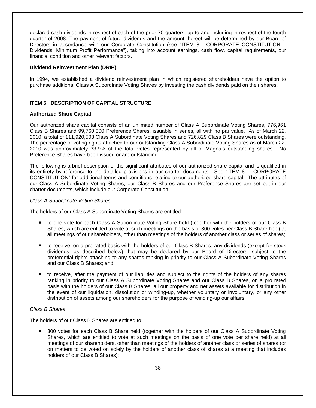declared cash dividends in respect of each of the prior 70 quarters, up to and including in respect of the fourth quarter of 2008. The payment of future dividends and the amount thereof will be determined by our Board of Directors in accordance with our Corporate Constitution (see "ITEM 8. CORPORATE CONSTITUTION – Dividends; Minimum Profit Performance"), taking into account earnings, cash flow, capital requirements, our financial condition and other relevant factors.

### **Dividend Reinvestment Plan (DRIP)**

In 1994, we established a dividend reinvestment plan in which registered shareholders have the option to purchase additional Class A Subordinate Voting Shares by investing the cash dividends paid on their shares.

# **ITEM 5. DESCRIPTION OF CAPITAL STRUCTURE**

### **Authorized Share Capital**

Our authorized share capital consists of an unlimited number of Class A Subordinate Voting Shares, 776,961 Class B Shares and 99,760,000 Preference Shares, issuable in series, all with no par value. As of March 22, 2010, a total of 111,920,503 Class A Subordinate Voting Shares and 726,829 Class B Shares were outstanding. The percentage of voting rights attached to our outstanding Class A Subordinate Voting Shares as of March 22, 2010 was approximately 33.9% of the total votes represented by all of Magna's outstanding shares. No Preference Shares have been issued or are outstanding.

The following is a brief description of the significant attributes of our authorized share capital and is qualified in its entirety by reference to the detailed provisions in our charter documents. See "ITEM 8. – CORPORATE CONSTITUTION" for additional terms and conditions relating to our authorized share capital. The attributes of our Class A Subordinate Voting Shares, our Class B Shares and our Preference Shares are set out in our charter documents, which include our Corporate Constitution.

### *Class A Subordinate Voting Shares*

The holders of our Class A Subordinate Voting Shares are entitled:

- to one vote for each Class A Subordinate Voting Share held (together with the holders of our Class B Shares, which are entitled to vote at such meetings on the basis of 300 votes per Class B Share held) at all meetings of our shareholders, other than meetings of the holders of another class or series of shares;
- to receive, on a pro rated basis with the holders of our Class B Shares, any dividends (except for stock dividends, as described below) that may be declared by our Board of Directors, subject to the preferential rights attaching to any shares ranking in priority to our Class A Subordinate Voting Shares and our Class B Shares; and
- to receive, after the payment of our liabilities and subject to the rights of the holders of any shares ranking in priority to our Class A Subordinate Voting Shares and our Class B Shares, on a pro rated basis with the holders of our Class B Shares, all our property and net assets available for distribution in the event of our liquidation, dissolution or winding-up, whether voluntary or involuntary, or any other distribution of assets among our shareholders for the purpose of winding-up our affairs.

# *Class B Shares*

The holders of our Class B Shares are entitled to:

 300 votes for each Class B Share held (together with the holders of our Class A Subordinate Voting Shares, which are entitled to vote at such meetings on the basis of one vote per share held) at all meetings of our shareholders, other than meetings of the holders of another class or series of shares (or on matters to be voted on solely by the holders of another class of shares at a meeting that includes holders of our Class B Shares);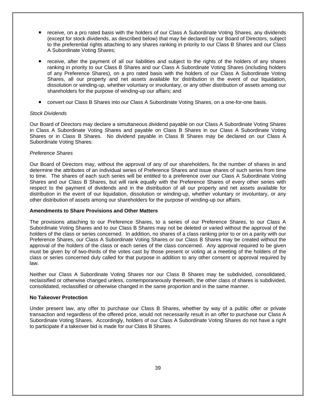- receive, on a pro rated basis with the holders of our Class A Subordinate Voting Shares, any dividends (except for stock dividends, as described below) that may be declared by our Board of Directors, subject to the preferential rights attaching to any shares ranking in priority to our Class B Shares and our Class A Subordinate Voting Shares;
- receive, after the payment of all our liabilities and subject to the rights of the holders of any shares ranking in priority to our Class B Shares and our Class A Subordinate Voting Shares (including holders of any Preference Shares), on a pro rated basis with the holders of our Class A Subordinate Voting Shares, all our property and net assets available for distribution in the event of our liquidation. dissolution or winding-up, whether voluntary or involuntary, or any other distribution of assets among our shareholders for the purpose of winding-up our affairs; and
- convert our Class B Shares into our Class A Subordinate Voting Shares, on a one-for-one basis.

# *Stock Dividends*

Our Board of Directors may declare a simultaneous dividend payable on our Class A Subordinate Voting Shares in Class A Subordinate Voting Shares and payable on Class B Shares in our Class A Subordinate Voting Shares or in Class B Shares. No dividend payable in Class B Shares may be declared on our Class A Subordinate Voting Shares.

### *Preference Shares*

Our Board of Directors may, without the approval of any of our shareholders, fix the number of shares in and determine the attributes of an individual series of Preference Shares and issue shares of such series from time to time. The shares of each such series will be entitled to a preference over our Class A Subordinate Voting Shares and our Class B Shares, but will rank equally with the Preference Shares of every other series with respect to the payment of dividends and in the distribution of all our property and net assets available for distribution in the event of our liquidation, dissolution or winding-up, whether voluntary or involuntary, or any other distribution of assets among our shareholders for the purpose of winding-up our affairs.

### **Amendments to Share Provisions and Other Matters**

The provisions attaching to our Preference Shares, to a series of our Preference Shares, to our Class A Subordinate Voting Shares and to our Class B Shares may not be deleted or varied without the approval of the holders of the class or series concerned. In addition, no shares of a class ranking prior to or on a parity with our Preference Shares, our Class A Subordinate Voting Shares or our Class B Shares may be created without the approval of the holders of the class or each series of the class concerned. Any approval required to be given must be given by of two-thirds of the votes cast by those present or voting at a meeting of the holders of the class or series concerned duly called for that purpose in addition to any other consent or approval required by law.

Neither our Class A Subordinate Voting Shares nor our Class B Shares may be subdivided, consolidated, reclassified or otherwise changed unless, contemporaneously therewith, the other class of shares is subdivided, consolidated, reclassified or otherwise changed in the same proportion and in the same manner.

# **No Takeover Protection**

Under present law, any offer to purchase our Class B Shares, whether by way of a public offer or private transaction and regardless of the offered price, would not necessarily result in an offer to purchase our Class A Subordinate Voting Shares. Accordingly, holders of our Class A Subordinate Voting Shares do not have a right to participate if a takeover bid is made for our Class B Shares.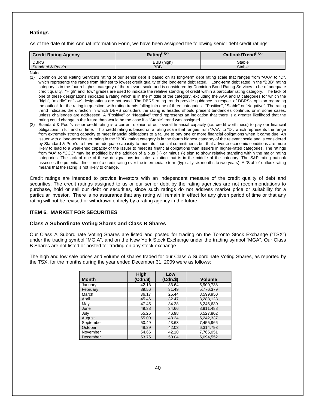# **Ratings**

As of the date of this Annual Information Form, we have been assigned the following senior debt credit ratings:

| Credit Rating Agency | Rating <sup>(1)(2)</sup> | Outlook/Trend <sup>(1)(2)</sup> |
|----------------------|--------------------------|---------------------------------|
| DBRS                 | BBB (high)               | Stable                          |
| Standard & Poor's    | <b>BBB</b>               | Stable                          |

Notes:

- (1) Dominion Bond Rating Service's rating of our senior debt is based on its long-term debt rating scale that ranges from "AAA" to "D", which represents the range from highest to lowest credit quality of the long-term debt rated. Long-term debt rated in the "BBB" rating category is in the fourth highest category of the relevant scale and is considered by Dominion Bond Rating Services to be of adequate credit quality. "High" and "low" grades are used to indicate the relative standing of credit within a particular rating category. The lack of one of these designations indicates a rating which is in the middle of the category, excluding the AAA and D categories for which the "high", "middle" or "low" designations are not used. The DBRS rating trends provide guidance in respect of DBRS's opinion regarding the outlook for the rating in question, with rating trends falling into one of three categories - "Positive", "Stable" or "Negative". The rating trend indicates the direction in which DBRS considers the rating is headed should present tendencies continue, or in some cases, unless challenges are addressed. A "Positive" or "Negative" trend represents an indication that there is a greater likelihood that the rating could change in the future than would be the case if a "Stable" trend was assigned.
- Standard & Poor's issuer credit rating is a current opinion of our overall financial capacity (i.e. credit worthiness) to pay our financial obligations in full and on time. This credit rating is based on a rating scale that ranges from "AAA" to "D", which represents the range from extremely strong capacity to meet financial obligations to a failure to pay one or more financial obligations when it came due. An issuer with a long-term issuer rating in the "BBB" rating category is in the fourth highest category of the relevant scale and is considered by Standard & Poor's to have an adequate capacity to meet its financial commitments but that adverse economic conditions are more likely to lead to a weakened capacity of the issuer to meet its financial obligations than issuers in higher-rated categories. The ratings from "AA" to "CCC" may be modified by the addition of a plus (+) or minus (-) sign to show relative standing within the major rating categories. The lack of one of these designations indicates a rating that is in the middle of the category. The S&P rating outlook assesses the potential direction of a credit rating over the intermediate term (typically six months to two years). A "Stable" outlook rating means that the rating is not likely to change.

Credit ratings are intended to provide investors with an independent measure of the credit quality of debt and securities. The credit ratings assigned to us or our senior debt by the rating agencies are not recommendations to purchase, hold or sell our debt or securities, since such ratings do not address market price or suitability for a particular investor. There is no assurance that any rating will remain in effect for any given period of time or that any rating will not be revised or withdrawn entirely by a rating agency in the future.

# **ITEM 6. MARKET FOR SECURITIES**

### **Class A Subordinate Voting Shares and Class B Shares**

Our Class A Subordinate Voting Shares are listed and posted for trading on the Toronto Stock Exchange ("TSX") under the trading symbol "MG.A", and on the New York Stock Exchange under the trading symbol "MGA". Our Class B Shares are not listed or posted for trading on any stock exchange.

The high and low sale prices and volume of shares traded for our Class A Subordinate Voting Shares, as reported by the TSX, for the months during the year ended December 31, 2009 were as follows:

|              | High     | Low      |               |
|--------------|----------|----------|---------------|
| <b>Month</b> | (Cdn.\$) | (Cdn.\$) | <b>Volume</b> |
| January      | 42.13    | 33.64    | 5,900,738     |
| February     | 39.56    | 31.49    | 5.776.379     |
| March        | 36.17    | 25.44    | 8,599,950     |
| April        | 45.46    | 32.47    | 8.288.128     |
| May          | 47.45    | 34.38    | 6,246,639     |
| June         | 49.38    | 34.66    | 8,911,488     |
| July         | 55.25    | 46.98    | 6,527,802     |
| August       | 55.00    | 48.24    | 5.242.337     |
| September    | 50.49    | 43.68    | 7.455.966     |
| October      | 48.29    | 42.03    | 6.314.793     |
| November     | 54.66    | 42.10    | 7,765,051     |
| December     | 53.75    | 50.04    | 5,094,552     |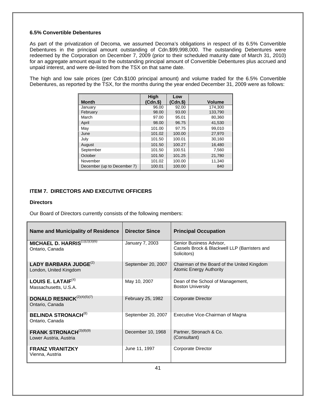# **6.5% Convertible Debentures**

As part of the privatization of Decoma, we assumed Decoma's obligations in respect of its 6.5% Convertible Debentures in the principal amount outstanding of Cdn.\$99,998,000. The outstanding Debentures were redeemed by the Corporation on December 7, 2009 (prior to their scheduled maturity date of March 31, 2010) for an aggregate amount equal to the outstanding principal amount of Convertible Debentures plus accrued and unpaid interest, and were de-listed from the TSX on that same date.

The high and low sale prices (per Cdn.\$100 principal amount) and volume traded for the 6.5% Convertible Debentures, as reported by the TSX, for the months during the year ended December 31, 2009 were as follows:

|                             | High     | Low      |               |
|-----------------------------|----------|----------|---------------|
| <b>Month</b>                | $(Cdn.\$ | (Cdn.\$) | <b>Volume</b> |
| January                     | 96.00    | 92.00    | 174,300       |
| February                    | 98.00    | 93.00    | 133,790       |
| March                       | 97.00    | 95.01    | 80,360        |
| April                       | 98.00    | 96.75    | 41,530        |
| May                         | 101.00   | 97.75    | 99,010        |
| June                        | 101.02   | 100.00   | 27,970        |
| July                        | 101.50   | 100.01   | 30,160        |
| August                      | 101.50   | 100.27   | 16,480        |
| September                   | 101.50   | 100.51   | 7,560         |
| October                     | 101.50   | 101.25   | 21,780        |
| November                    | 101.02   | 100.00   | 11,340        |
| December (up to December 7) | 100.01   | 100.00   | 840           |

# **ITEM 7. DIRECTORS AND EXECUTIVE OFFICERS**

# **Directors**

Our Board of Directors currently consists of the following members:

| <b>Name and Municipality of Residence</b>                        | <b>Director Since</b> | <b>Principal Occupation</b>                                                              |
|------------------------------------------------------------------|-----------------------|------------------------------------------------------------------------------------------|
| MICHAEL D. HARRIS <sup>(1)(2)(3)(6)</sup><br>Ontario, Canada     | January 7, 2003       | Senior Business Advisor,<br>Cassels Brock & Blackwell LLP (Barristers and<br>Solicitors) |
| LADY BARBARA JUDGE $^{(2)}$<br>London, United Kingdom            | September 20, 2007    | Chairman of the Board of the United Kingdom<br><b>Atomic Energy Authority</b>            |
| LOUIS E. LATAIF $(4)$<br>Massachusetts, U.S.A.                   | May 10, 2007          | Dean of the School of Management,<br><b>Boston University</b>                            |
| <b>DONALD RESNICK</b> <sup>(2)(4)(5)(7)</sup><br>Ontario, Canada | February 25, 1982     | Corporate Director                                                                       |
| <b>BELINDA STRONACH(8)</b><br>Ontario, Canada                    | September 20, 2007    | Executive Vice-Chairman of Magna                                                         |
| FRANK STRONACH <sup>(3)(8)(9)</sup><br>Lower Austria, Austria    | December 10, 1968     | Partner, Stronach & Co.<br>(Consultant)                                                  |
| <b>FRANZ VRANITZKY</b><br>Vienna, Austria                        | June 11, 1997         | Corporate Director                                                                       |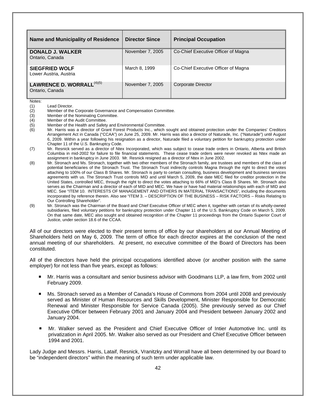| <b>Name and Municipality of Residence</b>                | <b>Director Since</b> | <b>Principal Occupation</b>         |
|----------------------------------------------------------|-----------------------|-------------------------------------|
| <b>DONALD J. WALKER</b><br>Ontario, Canada               | November 7, 2005      | Co-Chief Executive Officer of Magna |
| <b>SIEGFRIED WOLF</b><br>Lower Austria, Austria          | March 8, 1999         | Co-Chief Executive Officer of Magna |
| LAWRENCE D. WORRALL <sup>(4)(5)</sup><br>Ontario, Canada | November 7, 2005      | Corporate Director                  |

Notes:

- (1) Lead Director.<br>(2) Member of the (2) Member of the Corporate Governance and Compensation Committee.<br>(3) Member of the Nominating Committee.
- Member of the Nominating Committee.
- (4) Member of the Audit Committee.<br>(5) Member of the Health and Safety
- Member of the Health and Safety and Environmental Committee.
- (6) Mr. Harris was a director of Grant Forest Products Inc., which sought and obtained protection under the Companies' Creditors Arrangement Act in Canada ("CCAA") on June 25, 2009. Mr. Harris was also a director of Naturade, Inc. ("Naturade") until August 6, 2009. Within a year following his resignation as a director, Naturade filed a voluntary petition for bankruptcy protection under Chapter 11 of the U.S. Bankruptcy Code.
- (7) Mr. Resnick served as a director of Ntex Incorporated, which was subject to cease trade orders in Ontario, Alberta and British Columbia in mid-2002 for failure to file financial statements. These cease trade orders were never revoked as Ntex made an assignment in bankruptcy in June 2003. Mr. Resnick resigned as a director of Ntex in June 2002.
- (8) Mr. Stronach and Ms. Stronach, together with two other members of the Stronach family, are trustees and members of the class of potential beneficiaries of the Stronach Trust. The Stronach Trust indirectly controls Magna through the right to direct the votes attaching to 100% of our Class B Shares. Mr. Stronach is party to certain consulting, business development and business services agreements with us. The Stronach Trust controls MID and until March 5, 2009, the date MEC filed for creditor protection in the United States, controlled MEC, through the right to direct the votes attaching to 66% of MID's Class B Shares. Mr. Stronach also serves as the Chairman and a director of each of MID and MEC. We have or have had material relationships with each of MID and MEC. See "ITEM 10. INTERESTS OF MANAGEMENT AND OTHERS IN MATERIAL TRANSACTIONS", including the documents incorporated by reference therein. Also see "ITEM 3. – DESCRIPTION OF THE BUSINESS – RISK FACTORS – Risks Relating to Our Controlling Shareholder".
- (9) Mr. Stronach was the Chairman of the Board and Chief Executive Officer of MEC when it, together with certain of its wholly-owned subsidiaries, filed voluntary petitions for bankruptcy protection under Chapter 11 of the U.S. Bankruptcy Code on March 5, 2009. On that same date, MEC also sought and obtained recognition of the Chapter 11 proceedings from the Ontario Superior Court of Justice, under section 18.6 of the CCAA.

All of our directors were elected to their present terms of office by our shareholders at our Annual Meeting of Shareholders held on May 6, 2009. The term of office for each director expires at the conclusion of the next annual meeting of our shareholders. At present, no executive committee of the Board of Directors has been constituted.

All of the directors have held the principal occupations identified above (or another position with the same employer) for not less than five years, except as follows:

- Mr. Harris was a consultant and senior business advisor with Goodmans LLP, a law firm, from 2002 until February 2009.
- Ms. Stronach served as a Member of Canada's House of Commons from 2004 until 2008 and previously served as Minister of Human Resources and Skills Development, Minister Responsible for Democratic Renewal and Minister Responsible for Service Canada (2005). She previously served as our Chief Executive Officer between February 2001 and January 2004 and President between January 2002 and January 2004.
- Mr. Walker served as the President and Chief Executive Officer of Intier Automotive Inc. until its privatization in April 2005. Mr. Walker also served as our President and Chief Executive Officer between 1994 and 2001.

Lady Judge and Messrs. Harris, Lataif, Resnick, Vranitzky and Worrall have all been determined by our Board to be "independent directors" within the meaning of such term under applicable law.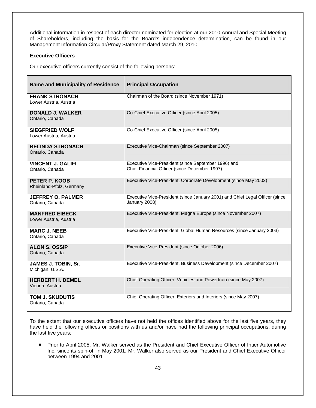Additional information in respect of each director nominated for election at our 2010 Annual and Special Meeting of Shareholders, including the basis for the Board's independence determination, can be found in our Management Information Circular/Proxy Statement dated March 29, 2010.

# **Executive Officers**

Our executive officers currently consist of the following persons:

| <b>Name and Municipality of Residence</b>       | <b>Principal Occupation</b>                                                                          |  |
|-------------------------------------------------|------------------------------------------------------------------------------------------------------|--|
| <b>FRANK STRONACH</b><br>Lower Austria, Austria | Chairman of the Board (since November 1971)                                                          |  |
| <b>DONALD J. WALKER</b><br>Ontario, Canada      | Co-Chief Executive Officer (since April 2005)                                                        |  |
| <b>SIEGFRIED WOLF</b><br>Lower Austria, Austria | Co-Chief Executive Officer (since April 2005)                                                        |  |
| <b>BELINDA STRONACH</b><br>Ontario, Canada      | Executive Vice-Chairman (since September 2007)                                                       |  |
| <b>VINCENT J. GALIFI</b><br>Ontario, Canada     | Executive Vice-President (since September 1996) and<br>Chief Financial Officer (since December 1997) |  |
| PETER P. KOOB<br>Rheinland-Pfolz, Germany       | Executive Vice-President, Corporate Development (since May 2002)                                     |  |
| <b>JEFFREY O. PALMER</b><br>Ontario, Canada     | Executive Vice-President (since January 2001) and Chief Legal Officer (since<br>January 2008)        |  |
| <b>MANFRED EIBECK</b><br>Lower Austria, Austria | Executive Vice-President, Magna Europe (since November 2007)                                         |  |
| <b>MARC J. NEEB</b><br>Ontario, Canada          | Executive Vice-President, Global Human Resources (since January 2003)                                |  |
| <b>ALON S. OSSIP</b><br>Ontario, Canada         | Executive Vice-President (since October 2006)                                                        |  |
| JAMES J. TOBIN, Sr.<br>Michigan, U.S.A.         | Executive Vice-President, Business Development (since December 2007)                                 |  |
| <b>HERBERT H. DEMEL</b><br>Vienna, Austria      | Chief Operating Officer, Vehicles and Powertrain (since May 2007)                                    |  |
| <b>TOM J. SKUDUTIS</b><br>Ontario, Canada       | Chief Operating Officer, Exteriors and Interiors (since May 2007)                                    |  |

To the extent that our executive officers have not held the offices identified above for the last five years, they have held the following offices or positions with us and/or have had the following principal occupations, during the last five years:

■ Prior to April 2005, Mr. Walker served as the President and Chief Executive Officer of Intier Automotive Inc. since its spin-off in May 2001. Mr. Walker also served as our President and Chief Executive Officer between 1994 and 2001.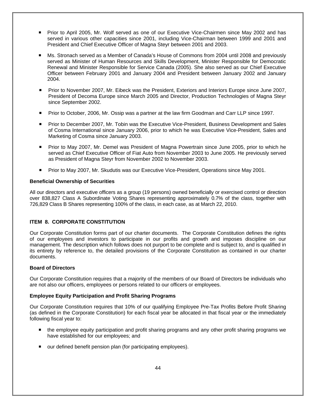- Prior to April 2005, Mr. Wolf served as one of our Executive Vice-Chairmen since May 2002 and has served in various other capacities since 2001, including Vice-Chairman between 1999 and 2001 and President and Chief Executive Officer of Magna Steyr between 2001 and 2003.
- Ms. Stronach served as a Member of Canada's House of Commons from 2004 until 2008 and previously served as Minister of Human Resources and Skills Development, Minister Responsible for Democratic Renewal and Minister Responsible for Service Canada (2005). She also served as our Chief Executive Officer between February 2001 and January 2004 and President between January 2002 and January 2004.
- Prior to November 2007, Mr. Eibeck was the President, Exteriors and Interiors Europe since June 2007, President of Decoma Europe since March 2005 and Director, Production Technologies of Magna Steyr since September 2002.
- Prior to October, 2006, Mr. Ossip was a partner at the law firm Goodman and Carr LLP since 1997.
- **Prior to December 2007, Mr. Tobin was the Executive Vice-President, Business Development and Sales** of Cosma International since January 2006, prior to which he was Executive Vice-President, Sales and Marketing of Cosma since January 2003.
- Prior to May 2007, Mr. Demel was President of Magna Powertrain since June 2005, prior to which he served as Chief Executive Officer of Fiat Auto from November 2003 to June 2005. He previously served as President of Magna Steyr from November 2002 to November 2003.
- Prior to May 2007, Mr. Skudutis was our Executive Vice-President, Operations since May 2001.

# **Beneficial Ownership of Securities**

All our directors and executive officers as a group (19 persons) owned beneficially or exercised control or direction over 838,827 Class A Subordinate Voting Shares representing approximately 0.7% of the class, together with 726,829 Class B Shares representing 100% of the class, in each case, as at March 22, 2010.

# **ITEM 8. CORPORATE CONSTITUTION**

Our Corporate Constitution forms part of our charter documents. The Corporate Constitution defines the rights of our employees and investors to participate in our profits and growth and imposes discipline on our management. The description which follows does not purport to be complete and is subject to, and is qualified in its entirety by reference to, the detailed provisions of the Corporate Constitution as contained in our charter documents.

# **Board of Directors**

Our Corporate Constitution requires that a majority of the members of our Board of Directors be individuals who are not also our officers, employees or persons related to our officers or employees.

# **Employee Equity Participation and Profit Sharing Programs**

Our Corporate Constitution requires that 10% of our qualifying Employee Pre-Tax Profits Before Profit Sharing (as defined in the Corporate Constitution) for each fiscal year be allocated in that fiscal year or the immediately following fiscal year to:

- the employee equity participation and profit sharing programs and any other profit sharing programs we have established for our employees; and
- our defined benefit pension plan (for participating employees).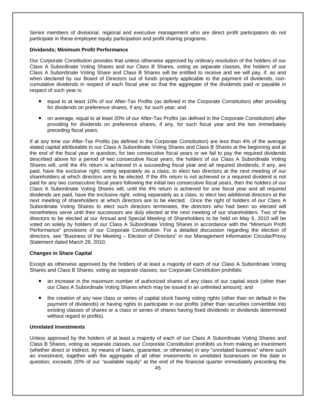Senior members of divisional, regional and executive management who are direct profit participators do not participate in these employee equity participation and profit sharing programs.

# **Dividends; Minimum Profit Performance**

Our Corporate Constitution provides that unless otherwise approved by ordinary resolution of the holders of our Class A Subordinate Voting Shares and our Class B Shares, voting as separate classes, the holders of our Class A Subordinate Voting Share and Class B Shares will be entitled to receive and we will pay, if, as and when declared by our Board of Directors out of funds properly applicable to the payment of dividends, noncumulative dividends in respect of each fiscal year so that the aggregate of the dividends paid or payable in respect of such year is:

- equal to at least 10% of our After-Tax Profits (as defined in the Corporate Constitution) after providing for dividends on preference shares, if any, for such year; and
- on average, equal to at least 20% of our After-Tax Profits (as defined in the Corporate Constitution) after providing for dividends on preference shares, if any, for such fiscal year and the two immediately preceding fiscal years.

If at any time our After-Tax Profits (as defined in the Corporate Constitution) are less than 4% of the average stated capital attributable to our Class A Subordinate Voting Shares and Class B Shares at the beginning and at the end of the fiscal year in question, for two consecutive fiscal years or we fail to pay the required dividends described above for a period of two consecutive fiscal years, the holders of our Class A Subordinate Voting Shares will, until the 4% return is achieved in a succeeding fiscal year and all required dividends, if any, are paid, have the exclusive right, voting separately as a class, to elect two directors at the next meeting of our shareholders at which directors are to be elected. If the 4% return is not achieved or a required dividend is not paid for any two consecutive fiscal years following the initial two consecutive fiscal years, then the holders of our Class A Subordinate Voting Shares will, until the 4% return is achieved for one fiscal year and all required dividends are paid, have the exclusive right, voting separately as a class, to elect two additional directors at the next meeting of shareholders at which directors are to be elected. Once the right of holders of our Class A Subordinate Voting Shares to elect such directors terminates, the directors who had been so elected will nonetheless serve until their successors are duly elected at the next meeting of our shareholders. Two of the directors to be elected at our Annual and Special Meeting of Shareholders to be held on May 6, 2010 will be voted on solely by holders of our Class A Subordinate Voting Shares in accordance with the "Minimum Profit Performance" provisions of our Corporate Constitution. For a detailed discussion regarding the election of directors, see "Business of the Meeting – Election of Directors" in our Management Information Circular/Proxy Statement dated March 29, 2010.

### **Changes in Share Capital**

Except as otherwise approved by the holders of at least a majority of each of our Class A Subordinate Voting Shares and Class B Shares, voting as separate classes, our Corporate Constitution prohibits:

- an increase in the maximum number of authorized shares of any class of our capital stock (other than our Class A Subordinate Voting Shares which may be issued in an unlimited amount); and
- the creation of any new class or series of capital stock having voting rights (other than on default in the payment of dividends) or having rights to participate in our profits (other than securities convertible into existing classes of shares or a class or series of shares having fixed dividends or dividends determined without regard to profits).

### **Unrelated Investments**

Unless approved by the holders of at least a majority of each of our Class A Subordinate Voting Shares and Class B Shares, voting as separate classes, our Corporate Constitution prohibits us from making an investment (whether direct or indirect, by means of loans, guarantee, or otherwise) in any "unrelated business" where such an investment, together with the aggregate of all other investments in unrelated businesses on the date in question, exceeds 20% of our "available equity" at the end of the financial quarter immediately preceding the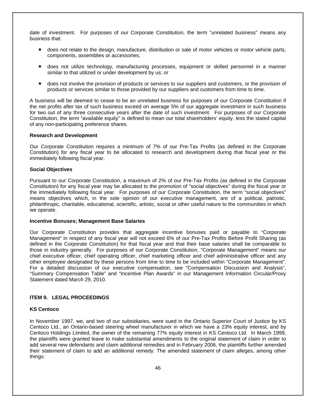date of investment. For purposes of our Corporate Constitution, the term "unrelated business" means any business that:

- **does not relate to the design, manufacture, distribution or sale of motor vehicles or motor vehicle parts,** components, assemblies or accessories;
- does not utilize technology, manufacturing processes, equipment or skilled personnel in a manner similar to that utilized or under development by us; or
- does not involve the provision of products or services to our suppliers and customers, or the provision of products or services similar to those provided by our suppliers and customers from time to time.

A business will be deemed to cease to be an unrelated business for purposes of our Corporate Constitution if the net profits after tax of such business exceed on average 5% of our aggregate investment in such business for two out of any three consecutive years after the date of such investment. For purposes of our Corporate Constitution, the term "available equity" is defined to mean our total shareholders' equity, less the stated capital of any non-participating preference shares.

### **Research and Development**

Our Corporate Constitution requires a minimum of 7% of our Pre-Tax Profits (as defined in the Corporate Constitution) for any fiscal year to be allocated to research and development during that fiscal year or the immediately following fiscal year.

### **Social Objectives**

Pursuant to our Corporate Constitution, a maximum of 2% of our Pre-Tax Profits (as defined in the Corporate Constitution) for any fiscal year may be allocated to the promotion of "social objectives" during the fiscal year or the immediately following fiscal year. For purposes of our Corporate Constitution, the term "social objectives" means objectives which, in the sole opinion of our executive management, are of a political, patriotic, philanthropic, charitable, educational, scientific, artistic, social or other useful nature to the communities in which we operate.

### **Incentive Bonuses; Management Base Salaries**

Our Corporate Constitution provides that aggregate incentive bonuses paid or payable to "Corporate Management" in respect of any fiscal year will not exceed 6% of our Pre-Tax Profits Before Profit Sharing (as defined in the Corporate Constitution) for that fiscal year and that their base salaries shall be comparable to those in industry generally. For purposes of our Corporate Constitution, "Corporate Management" means our chief executive officer, chief operating officer, chief marketing officer and chief administrative officer and any other employee designated by these persons from time to time to be included within "Corporate Management". For a detailed discussion of our executive compensation, see "Compensation Discussion and Analysis", "Summary Compensation Table" and "Incentive Plan Awards" in our Management Information Circular/Proxy Statement dated March 29, 2010.

# **ITEM 9. LEGAL PROCEEDINGS**

### **KS Centoco**

In November 1997, we, and two of our subsidiaries, were sued in the Ontario Superior Court of Justice by KS Centoco Ltd., an Ontario-based steering wheel manufacturer in which we have a 23% equity interest, and by Centoco Holdings Limited, the owner of the remaining 77% equity interest in KS Centoco Ltd. In March 1999, the plaintiffs were granted leave to make substantial amendments to the original statement of claim in order to add several new defendants and claim additional remedies and in February 2006, the plaintiffs further amended their statement of claim to add an additional remedy. The amended statement of claim alleges, among other things: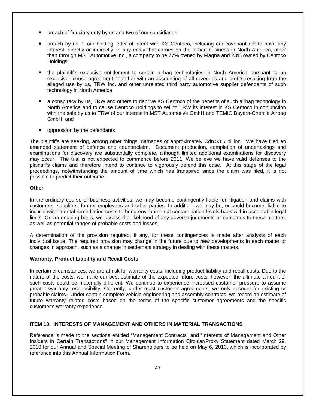- **E** breach of fiduciary duty by us and two of our subsidiaries;
- breach by us of our binding letter of intent with KS Centoco, including our covenant not to have any interest, directly or indirectly, in any entity that carries on the airbag business in North America, other than through MST Automotive Inc., a company to be 77% owned by Magna and 23% owned by Centoco Holdings;
- the plaintiff's exclusive entitlement to certain airbag technologies in North America pursuant to an exclusive license agreement, together with an accounting of all revenues and profits resulting from the alleged use by us, TRW Inc. and other unrelated third party automotive supplier defendants of such technology in North America;
- a conspiracy by us, TRW and others to deprive KS Centoco of the benefits of such airbag technology in North America and to cause Centoco Holdings to sell to TRW its interest in KS Centoco in conjunction with the sale by us to TRW of our interest in MST Automotive GmbH and TEMIC Bayern-Chemie Airbag GmbH; and
- oppression by the defendants.

The plaintiffs are seeking, among other things, damages of approximately Cdn.\$3.5 billion. We have filed an amended statement of defence and counterclaim. Document production, completion of undertakings and examinations for discovery are substantially complete, although limited additional examinations for discovery may occur. The trial is not expected to commence before 2011. We believe we have valid defenses to the plaintiff's claims and therefore intend to continue to vigorously defend this case. At this stage of the legal proceedings, notwithstanding the amount of time which has transpired since the claim was filed, it is not possible to predict their outcome.

# **Other**

In the ordinary course of business activities, we may become contingently liable for litigation and claims with customers, suppliers, former employees and other parties. In addition, we may be, or could become, liable to incur environmental remediation costs to bring environmental contamination levels back within acceptable legal limits. On an ongoing basis, we assess the likelihood of any adverse judgments or outcomes to these matters, as well as potential ranges of probable costs and losses.

A determination of the provision required, if any, for these contingencies is made after analysis of each individual issue. The required provision may change in the future due to new developments in each matter or changes in approach, such as a change in settlement strategy in dealing with these matters.

# **Warranty, Product Liability and Recall Costs**

In certain circumstances, we are at risk for warranty costs, including product liability and recall costs. Due to the nature of the costs, we make our best estimate of the expected future costs, however, the ultimate amount of such costs could be materially different. We continue to experience increased customer pressure to assume greater warranty responsibility. Currently, under most customer agreements, we only account for existing or probable claims. Under certain complete vehicle engineering and assembly contracts, we record an estimate of future warranty related costs based on the terms of the specific customer agreements and the specific customer's warranty experience.

# **ITEM 10. INTERESTS OF MANAGEMENT AND OTHERS IN MATERIAL TRANSACTIONS**

Reference is made to the sections entitled "Management Contracts" and "Interests of Management and Other Insiders in Certain Transactions" in our Management Information Circular/Proxy Statement dated March 29, 2010 for our Annual and Special Meeting of Shareholders to be held on May 6, 2010, which is incorporated by reference into this Annual Information Form.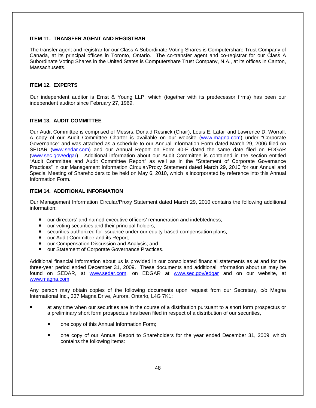# **ITEM 11. TRANSFER AGENT AND REGISTRAR**

The transfer agent and registrar for our Class A Subordinate Voting Shares is Computershare Trust Company of Canada, at its principal offices in Toronto, Ontario. The co-transfer agent and co-registrar for our Class A Subordinate Voting Shares in the United States is Computershare Trust Company, N.A., at its offices in Canton, Massachusetts.

# **ITEM 12. EXPERTS**

Our independent auditor is Ernst & Young LLP, which (together with its predecessor firms) has been our independent auditor since February 27, 1969.

# **ITEM 13. AUDIT COMMITTEE**

Our Audit Committee is comprised of Messrs. Donald Resnick (Chair), Louis E. Lataif and Lawrence D. Worrall. A copy of our Audit Committee Charter is available on our website (www.magna.com) under "Corporate Governance" and was attached as a schedule to our Annual Information Form dated March 29, 2006 filed on SEDAR (www.sedar.com) and our Annual Report on Form 40-F dated the same date filed on EDGAR (www.sec.gov/edgar). Additional information about our Audit Committee is contained in the section entitled "Audit Committee and Audit Committee Report" as well as in the "Statement of Corporate Governance Practices" in our Management Information Circular/Proxy Statement dated March 29, 2010 for our Annual and Special Meeting of Shareholders to be held on May 6, 2010, which is incorporated by reference into this Annual Information Form.

# **ITEM 14. ADDITIONAL INFORMATION**

Our Management Information Circular/Proxy Statement dated March 29, 2010 contains the following additional information:

- our directors' and named executive officers' remuneration and indebtedness;
- our voting securities and their principal holders:
- securities authorized for issuance under our equity-based compensation plans;
- our Audit Committee and its Report;
- our Compensation Discussion and Analysis: and
- our Statement of Corporate Governance Practices.

Additional financial information about us is provided in our consolidated financial statements as at and for the three-year period ended December 31, 2009. These documents and additional information about us may be found on SEDAR, at www.sedar.com, on EDGAR at www.sec.gov/edgar and on our website, at www.magna.com.

Any person may obtain copies of the following documents upon request from our Secretary, c/o Magna International Inc., 337 Magna Drive, Aurora, Ontario, L4G 7K1:

- at any time when our securities are in the course of a distribution pursuant to a short form prospectus or a preliminary short form prospectus has been filed in respect of a distribution of our securities,
	- one copy of this Annual Information Form;
	- one copy of our Annual Report to Shareholders for the year ended December 31, 2009, which contains the following items: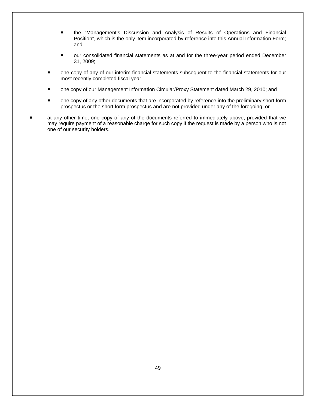- the "Management's Discussion and Analysis of Results of Operations and Financial Position", which is the only item incorporated by reference into this Annual Information Form; and
- our consolidated financial statements as at and for the three-year period ended December 31, 2009;
- one copy of any of our interim financial statements subsequent to the financial statements for our most recently completed fiscal year;
- one copy of our Management Information Circular/Proxy Statement dated March 29, 2010; and
- one copy of any other documents that are incorporated by reference into the preliminary short form prospectus or the short form prospectus and are not provided under any of the foregoing; or
- at any other time, one copy of any of the documents referred to immediately above, provided that we may require payment of a reasonable charge for such copy if the request is made by a person who is not one of our security holders.